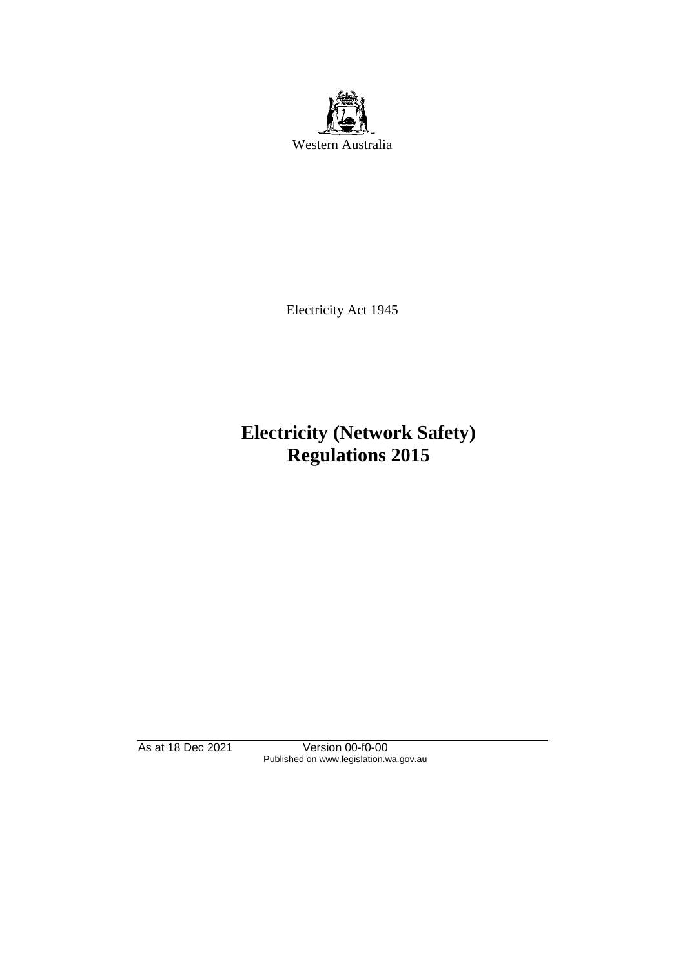

Electricity Act 1945

# **Electricity (Network Safety) Regulations 2015**

As at 18 Dec 2021 Version 00-f0-00 Published on www.legislation.wa.gov.au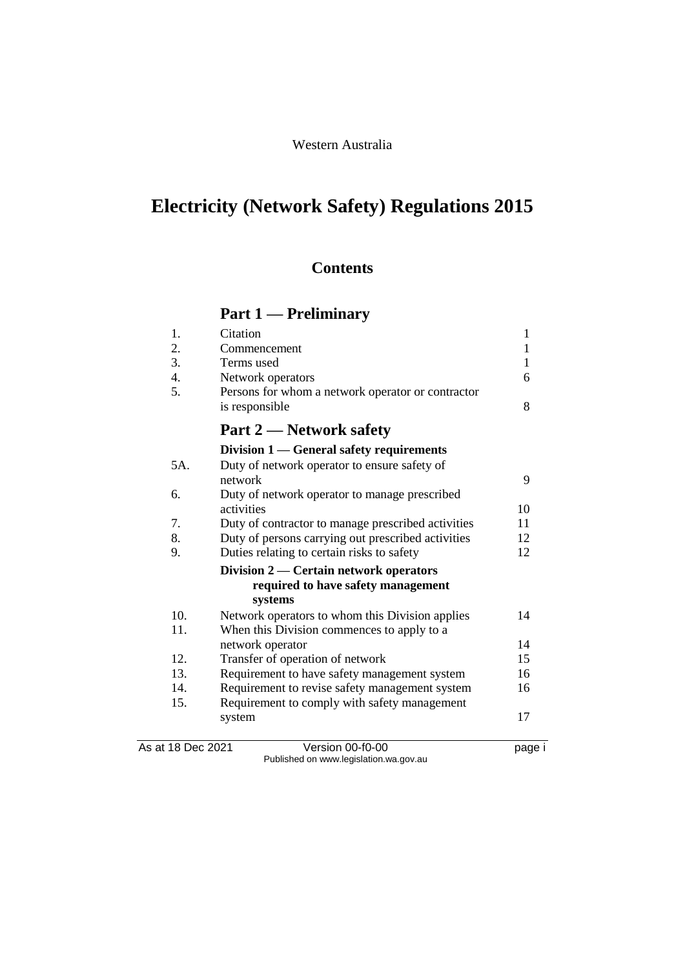## Western Australia

# **Electricity (Network Safety) Regulations 2015**

## **Contents**

# **Part 1 — Preliminary**

| 15.<br>As at 18 Dec 2021 | Transfer of operation of network<br>Requirement to have safety management system<br>Requirement to revise safety management system<br>Requirement to comply with safety management<br>system<br>Version 00-f0-00 | 15<br>16<br>16<br>17<br>page i |
|--------------------------|------------------------------------------------------------------------------------------------------------------------------------------------------------------------------------------------------------------|--------------------------------|
|                          |                                                                                                                                                                                                                  |                                |
|                          |                                                                                                                                                                                                                  |                                |
|                          |                                                                                                                                                                                                                  |                                |
| 14.                      |                                                                                                                                                                                                                  |                                |
| 13.                      |                                                                                                                                                                                                                  |                                |
| 12.                      |                                                                                                                                                                                                                  |                                |
|                          | network operator                                                                                                                                                                                                 | 14                             |
| 11.                      | When this Division commences to apply to a                                                                                                                                                                       |                                |
| 10.                      | Network operators to whom this Division applies                                                                                                                                                                  | 14                             |
|                          | systems                                                                                                                                                                                                          |                                |
|                          | required to have safety management                                                                                                                                                                               |                                |
|                          | Division 2 — Certain network operators                                                                                                                                                                           |                                |
| 9.                       | Duties relating to certain risks to safety                                                                                                                                                                       | 12                             |
| 8.                       | Duty of persons carrying out prescribed activities                                                                                                                                                               | 12                             |
| 7.                       | Duty of contractor to manage prescribed activities                                                                                                                                                               | 11                             |
|                          | activities                                                                                                                                                                                                       | 10                             |
| 6.                       | Duty of network operator to manage prescribed                                                                                                                                                                    |                                |
|                          | network                                                                                                                                                                                                          | 9                              |
| 5A.                      | Duty of network operator to ensure safety of                                                                                                                                                                     |                                |
|                          | Division 1 — General safety requirements                                                                                                                                                                         |                                |
|                          | <b>Part 2 — Network safety</b>                                                                                                                                                                                   |                                |
|                          | is responsible                                                                                                                                                                                                   |                                |
| 5.                       | Persons for whom a network operator or contractor                                                                                                                                                                | 8                              |
| 4.                       | Network operators                                                                                                                                                                                                | 6                              |
| 3.                       | Terms used                                                                                                                                                                                                       | 1                              |
| 2.                       | Commencement                                                                                                                                                                                                     | 1                              |
| 1.                       | Citation                                                                                                                                                                                                         | 1                              |

Published on www.legislation.wa.gov.au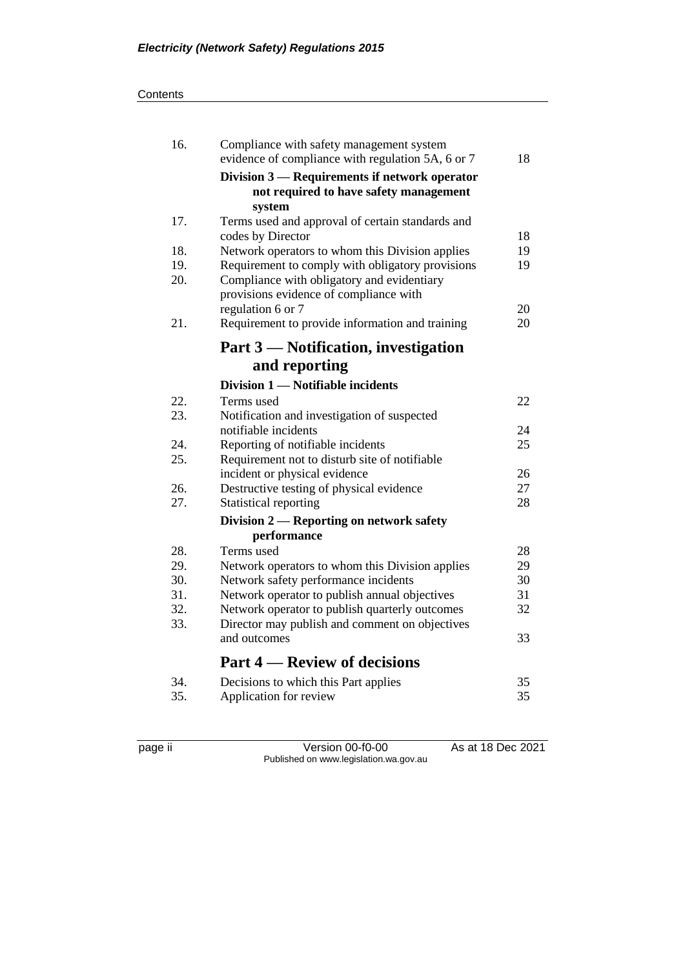#### **Contents**

| 16. | Compliance with safety management system<br>evidence of compliance with regulation 5A, 6 or 7 | 18 |
|-----|-----------------------------------------------------------------------------------------------|----|
|     | Division 3 — Requirements if network operator                                                 |    |
|     | not required to have safety management                                                        |    |
|     | system                                                                                        |    |
| 17. | Terms used and approval of certain standards and                                              |    |
|     | codes by Director                                                                             | 18 |
| 18. | Network operators to whom this Division applies                                               | 19 |
| 19. | Requirement to comply with obligatory provisions                                              | 19 |
| 20. | Compliance with obligatory and evidentiary                                                    |    |
|     | provisions evidence of compliance with                                                        |    |
|     | regulation 6 or 7                                                                             | 20 |
| 21. | Requirement to provide information and training                                               | 20 |
|     | Part 3 — Notification, investigation                                                          |    |
|     | and reporting                                                                                 |    |
|     | Division 1 - Notifiable incidents                                                             |    |
| 22. | Terms used                                                                                    | 22 |
| 23. | Notification and investigation of suspected                                                   |    |
|     | notifiable incidents                                                                          | 24 |
| 24. | Reporting of notifiable incidents                                                             | 25 |
| 25. | Requirement not to disturb site of notifiable                                                 |    |
|     | incident or physical evidence                                                                 | 26 |
| 26. | Destructive testing of physical evidence                                                      | 27 |
| 27. | Statistical reporting                                                                         | 28 |
|     | Division 2 - Reporting on network safety                                                      |    |
|     | performance                                                                                   |    |
| 28. | Terms used                                                                                    | 28 |
| 29. | Network operators to whom this Division applies                                               | 29 |
| 30. | Network safety performance incidents                                                          | 30 |
| 31. | Network operator to publish annual objectives                                                 | 31 |
| 32. | Network operator to publish quarterly outcomes                                                | 32 |
| 33. | Director may publish and comment on objectives<br>and outcomes                                | 33 |
|     | <b>Part 4 – Review of decisions</b>                                                           |    |
| 34. | Decisions to which this Part applies                                                          | 35 |
| 35. | Application for review                                                                        | 35 |
|     |                                                                                               |    |

page ii Version 00-f0-00 As at 18 Dec 2021 Published on www.legislation.wa.gov.au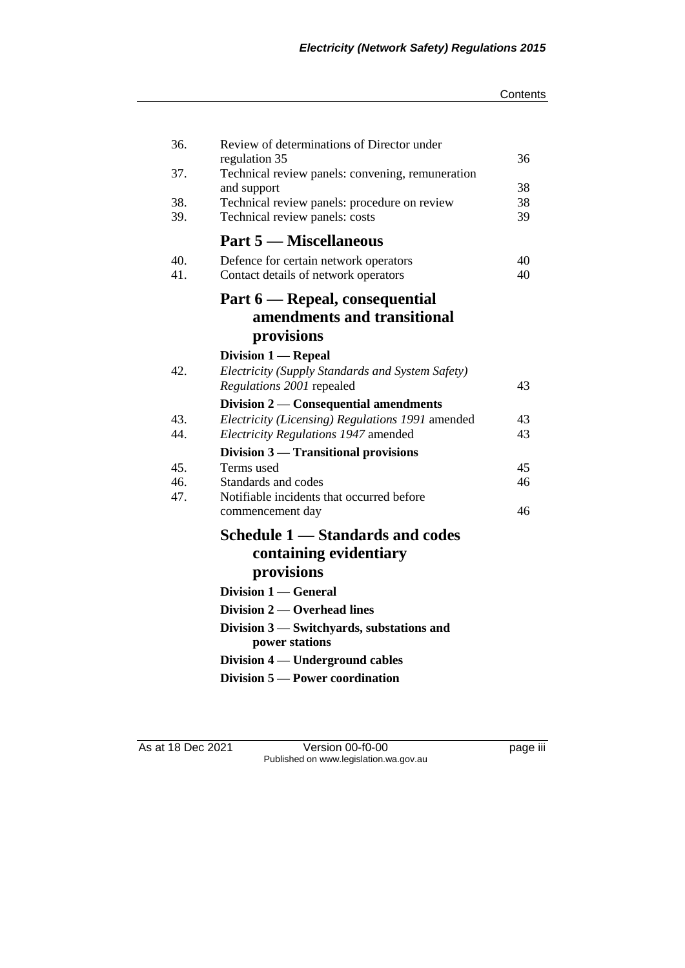#### **Contents**

| 36. | Review of determinations of Director under                                     |          |
|-----|--------------------------------------------------------------------------------|----------|
|     | regulation 35                                                                  | 36       |
| 37. | Technical review panels: convening, remuneration                               |          |
| 38. | and support                                                                    | 38<br>38 |
| 39. | Technical review panels: procedure on review<br>Technical review panels: costs | 39       |
|     | <b>Part 5 — Miscellaneous</b>                                                  |          |
|     |                                                                                |          |
| 40. | Defence for certain network operators                                          | 40       |
| 41. | Contact details of network operators                                           | 40       |
|     | Part 6 — Repeal, consequential                                                 |          |
|     | amendments and transitional                                                    |          |
|     | provisions                                                                     |          |
|     | Division 1 — Repeal                                                            |          |
| 42. | Electricity (Supply Standards and System Safety)                               |          |
|     | Regulations 2001 repealed                                                      | 43       |
|     | Division $2$ — Consequential amendments                                        |          |
| 43. | Electricity (Licensing) Regulations 1991 amended                               | 43       |
| 44. | Electricity Regulations 1947 amended                                           | 43       |
|     | Division 3 – Transitional provisions                                           |          |
| 45. | Terms used                                                                     | 45       |
| 46. | Standards and codes                                                            | 46       |
| 47. | Notifiable incidents that occurred before                                      |          |
|     | commencement day                                                               | 46       |
|     | Schedule 1 - Standards and codes                                               |          |
|     | containing evidentiary                                                         |          |
|     | provisions                                                                     |          |
|     | Division 1 — General                                                           |          |
|     | Division 2 — Overhead lines                                                    |          |
|     | Division 3 — Switchyards, substations and                                      |          |
|     | power stations                                                                 |          |
|     | Division 4 — Underground cables                                                |          |
|     | Division 5 – Power coordination                                                |          |

As at 18 Dec 2021 Version 00-f0-00 page iii Published on www.legislation.wa.gov.au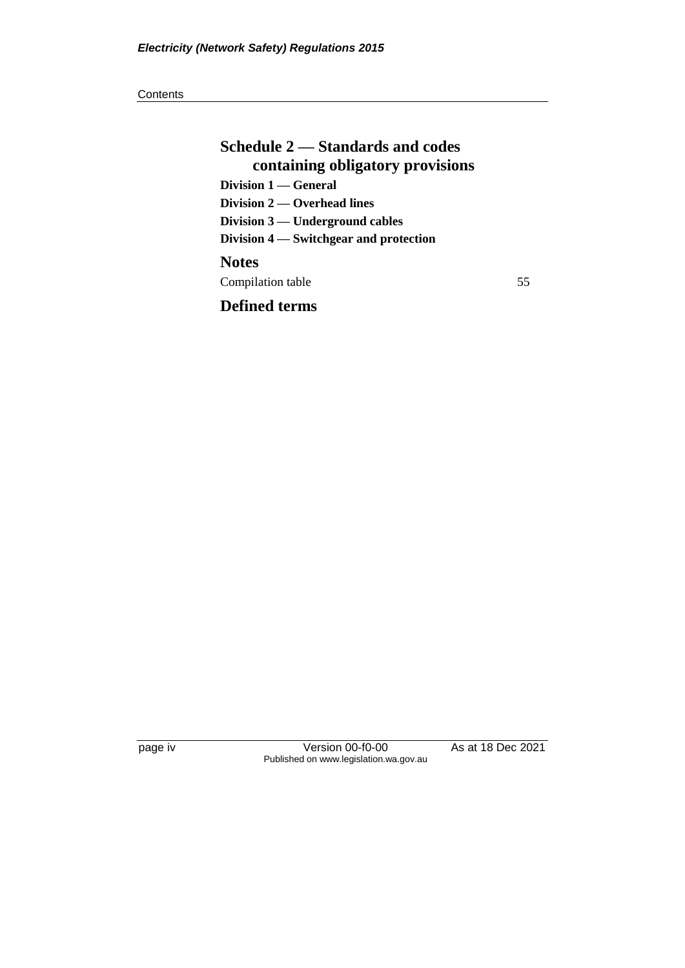**Schedule 2 — Standards and codes containing obligatory provisions Division 1 — General Division 2 — Overhead lines Division 3 — Underground cables Division 4 — Switchgear and protection Notes** Compilation table 55

## **Defined terms**

page iv Version 00-f0-00 As at 18 Dec 2021 Published on www.legislation.wa.gov.au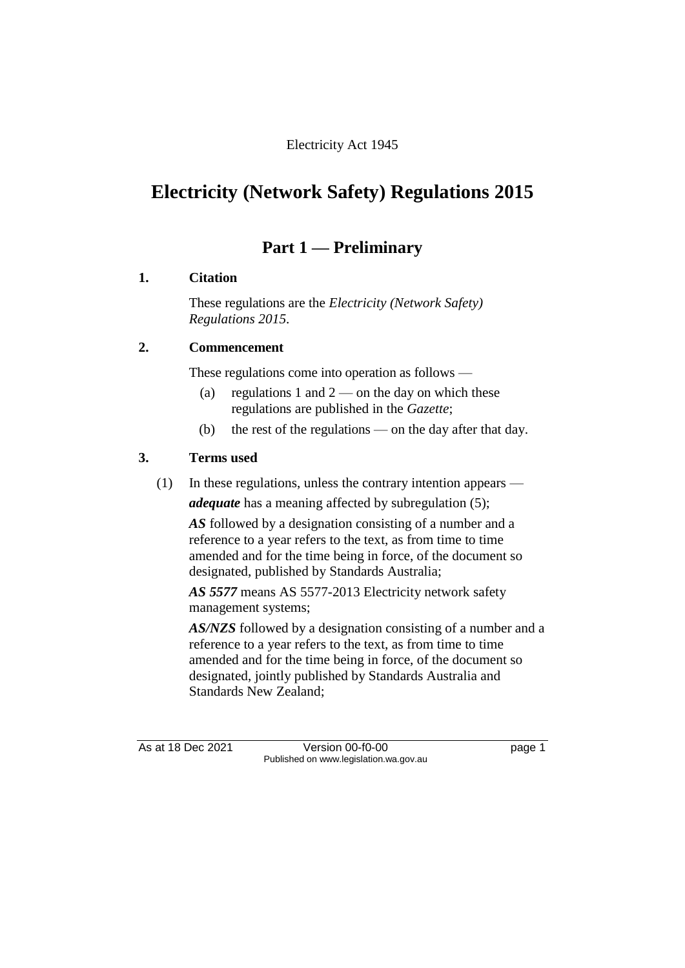## Electricity Act 1945

# **Electricity (Network Safety) Regulations 2015**

## **Part 1 — Preliminary**

#### **1. Citation**

These regulations are the *Electricity (Network Safety) Regulations 2015*.

## **2. Commencement**

These regulations come into operation as follows —

- (a) regulations 1 and  $2$  on the day on which these regulations are published in the *Gazette*;
- (b) the rest of the regulations on the day after that day.

#### **3. Terms used**

(1) In these regulations, unless the contrary intention appears —

*adequate* has a meaning affected by subregulation (5);

*AS* followed by a designation consisting of a number and a reference to a year refers to the text, as from time to time amended and for the time being in force, of the document so designated, published by Standards Australia;

*AS 5577* means AS 5577-2013 Electricity network safety management systems;

*AS/NZS* followed by a designation consisting of a number and a reference to a year refers to the text, as from time to time amended and for the time being in force, of the document so designated, jointly published by Standards Australia and Standards New Zealand;

As at 18 Dec 2021 Version 00-f0-00 Published on www.legislation.wa.gov.au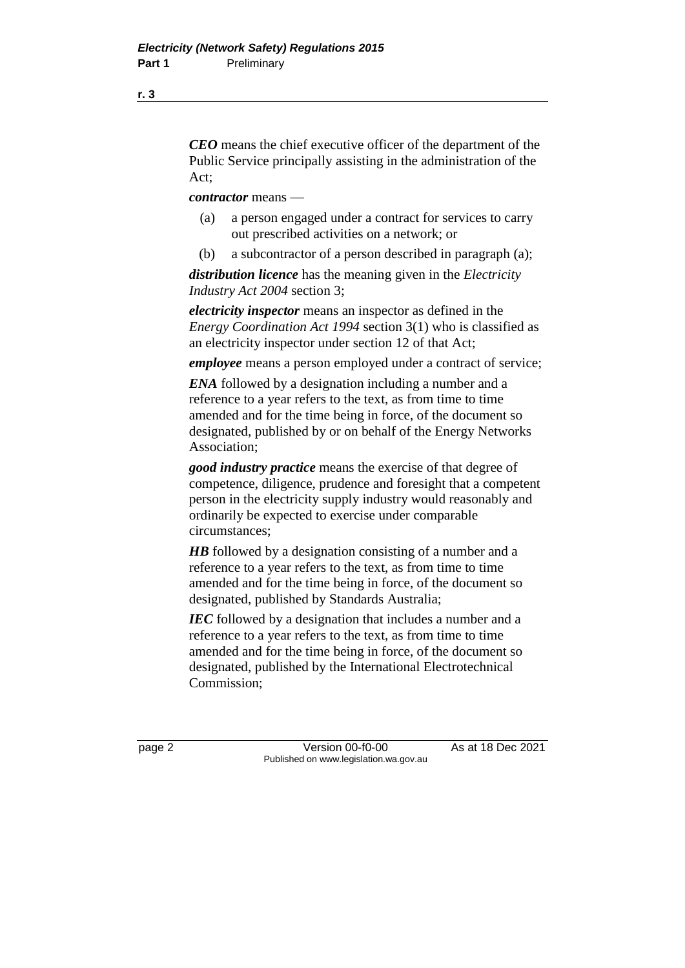*CEO* means the chief executive officer of the department of the Public Service principally assisting in the administration of the Act;

*contractor* means —

- (a) a person engaged under a contract for services to carry out prescribed activities on a network; or
- (b) a subcontractor of a person described in paragraph (a);

*distribution licence* has the meaning given in the *Electricity Industry Act 2004* section 3;

*electricity inspector* means an inspector as defined in the *Energy Coordination Act 1994* section 3(1) who is classified as an electricity inspector under section 12 of that Act;

*employee* means a person employed under a contract of service;

*ENA* followed by a designation including a number and a reference to a year refers to the text, as from time to time amended and for the time being in force, of the document so designated, published by or on behalf of the Energy Networks Association;

*good industry practice* means the exercise of that degree of competence, diligence, prudence and foresight that a competent person in the electricity supply industry would reasonably and ordinarily be expected to exercise under comparable circumstances;

*HB* followed by a designation consisting of a number and a reference to a year refers to the text, as from time to time amended and for the time being in force, of the document so designated, published by Standards Australia;

*IEC* followed by a designation that includes a number and a reference to a year refers to the text, as from time to time amended and for the time being in force, of the document so designated, published by the International Electrotechnical Commission;

page 2 Version 00-f0-00 As at 18 Dec 2021 Published on www.legislation.wa.gov.au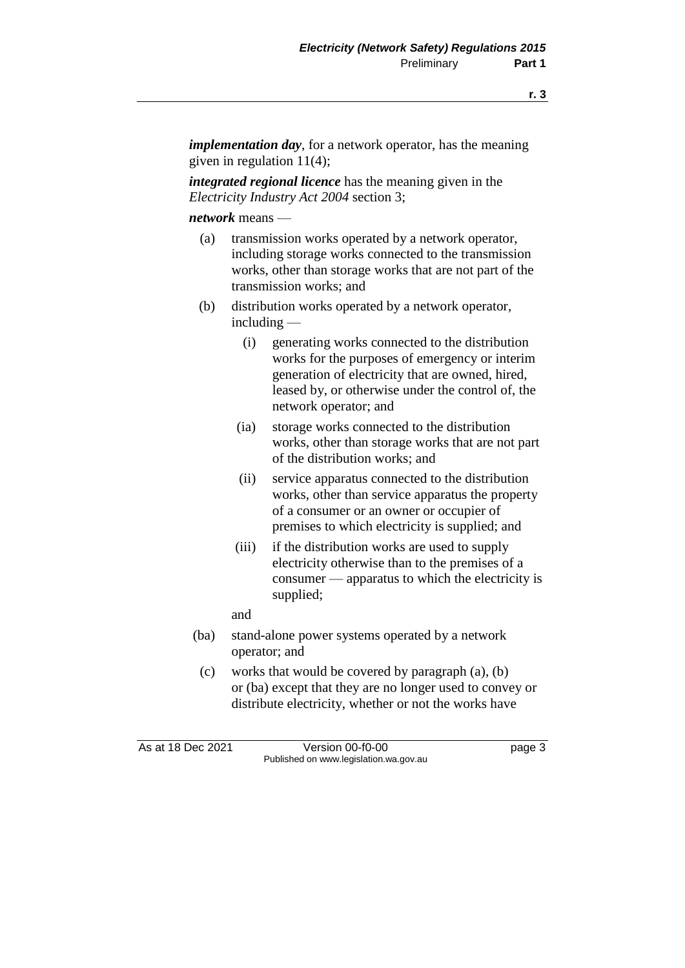*implementation day*, for a network operator, has the meaning given in regulation 11(4);

*integrated regional licence* has the meaning given in the *Electricity Industry Act 2004* section 3;

*network* means —

- (a) transmission works operated by a network operator, including storage works connected to the transmission works, other than storage works that are not part of the transmission works; and
- (b) distribution works operated by a network operator, including —
	- (i) generating works connected to the distribution works for the purposes of emergency or interim generation of electricity that are owned, hired, leased by, or otherwise under the control of, the network operator; and
	- (ia) storage works connected to the distribution works, other than storage works that are not part of the distribution works; and
	- (ii) service apparatus connected to the distribution works, other than service apparatus the property of a consumer or an owner or occupier of premises to which electricity is supplied; and
	- (iii) if the distribution works are used to supply electricity otherwise than to the premises of a consumer — apparatus to which the electricity is supplied;
	- and
- (ba) stand-alone power systems operated by a network operator; and
- (c) works that would be covered by paragraph (a), (b) or (ba) except that they are no longer used to convey or distribute electricity, whether or not the works have

As at 18 Dec 2021 Version 00-f0-00 Page 3 Published on www.legislation.wa.gov.au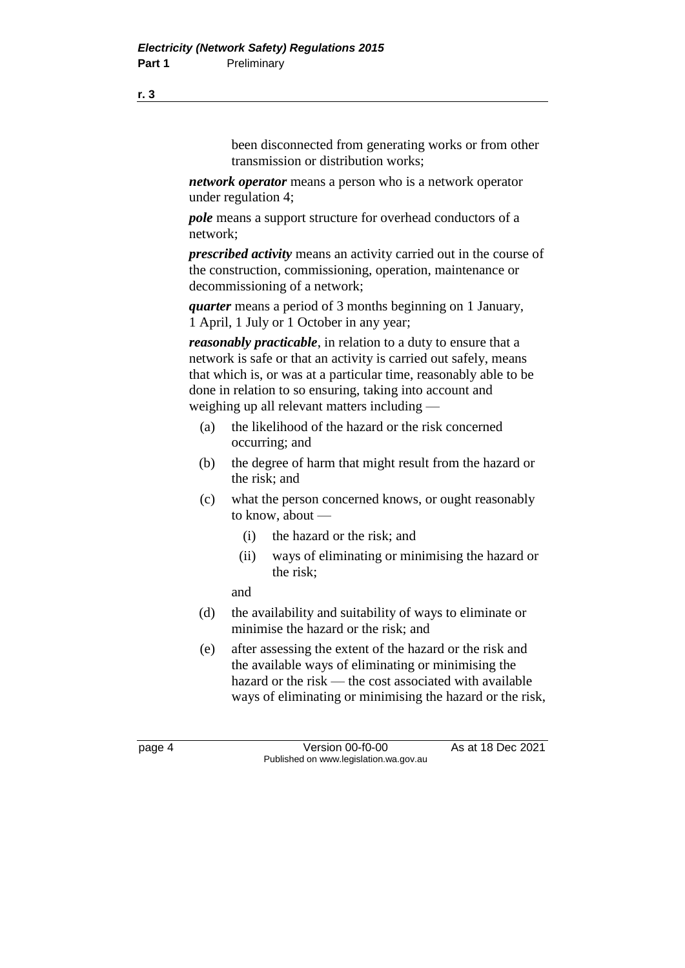been disconnected from generating works or from other transmission or distribution works;

*network operator* means a person who is a network operator under regulation 4;

*pole* means a support structure for overhead conductors of a network;

*prescribed activity* means an activity carried out in the course of the construction, commissioning, operation, maintenance or decommissioning of a network;

*quarter* means a period of 3 months beginning on 1 January, 1 April, 1 July or 1 October in any year;

*reasonably practicable*, in relation to a duty to ensure that a network is safe or that an activity is carried out safely, means that which is, or was at a particular time, reasonably able to be done in relation to so ensuring, taking into account and weighing up all relevant matters including —

- (a) the likelihood of the hazard or the risk concerned occurring; and
- (b) the degree of harm that might result from the hazard or the risk; and
- (c) what the person concerned knows, or ought reasonably to know, about —
	- (i) the hazard or the risk; and
	- (ii) ways of eliminating or minimising the hazard or the risk;

and

- (d) the availability and suitability of ways to eliminate or minimise the hazard or the risk; and
- (e) after assessing the extent of the hazard or the risk and the available ways of eliminating or minimising the hazard or the risk — the cost associated with available ways of eliminating or minimising the hazard or the risk,

**r. 3**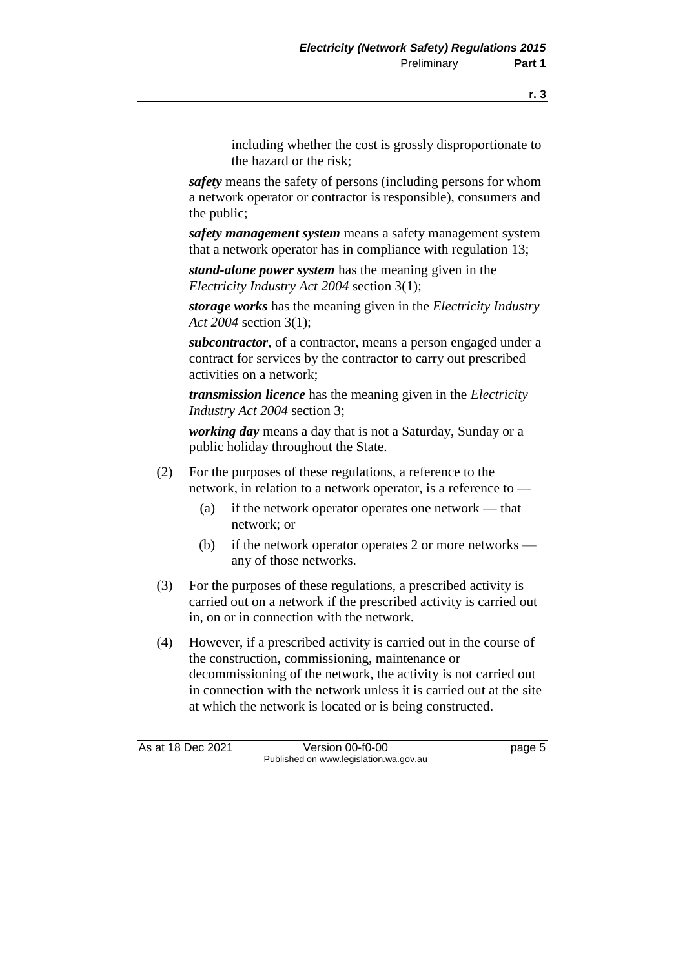including whether the cost is grossly disproportionate to the hazard or the risk;

*safety* means the safety of persons (including persons for whom a network operator or contractor is responsible), consumers and the public;

*safety management system* means a safety management system that a network operator has in compliance with regulation 13;

*stand-alone power system* has the meaning given in the *Electricity Industry Act 2004* section 3(1);

*storage works* has the meaning given in the *Electricity Industry Act 2004* section 3(1);

*subcontractor*, of a contractor, means a person engaged under a contract for services by the contractor to carry out prescribed activities on a network;

*transmission licence* has the meaning given in the *Electricity Industry Act 2004* section 3;

*working day* means a day that is not a Saturday, Sunday or a public holiday throughout the State.

- (2) For the purposes of these regulations, a reference to the network, in relation to a network operator, is a reference to —
	- (a) if the network operator operates one network that network; or
	- (b) if the network operator operates 2 or more networks any of those networks.
- (3) For the purposes of these regulations, a prescribed activity is carried out on a network if the prescribed activity is carried out in, on or in connection with the network.
- (4) However, if a prescribed activity is carried out in the course of the construction, commissioning, maintenance or decommissioning of the network, the activity is not carried out in connection with the network unless it is carried out at the site at which the network is located or is being constructed.

As at 18 Dec 2021 Version 00-f0-00 Page 5 Published on www.legislation.wa.gov.au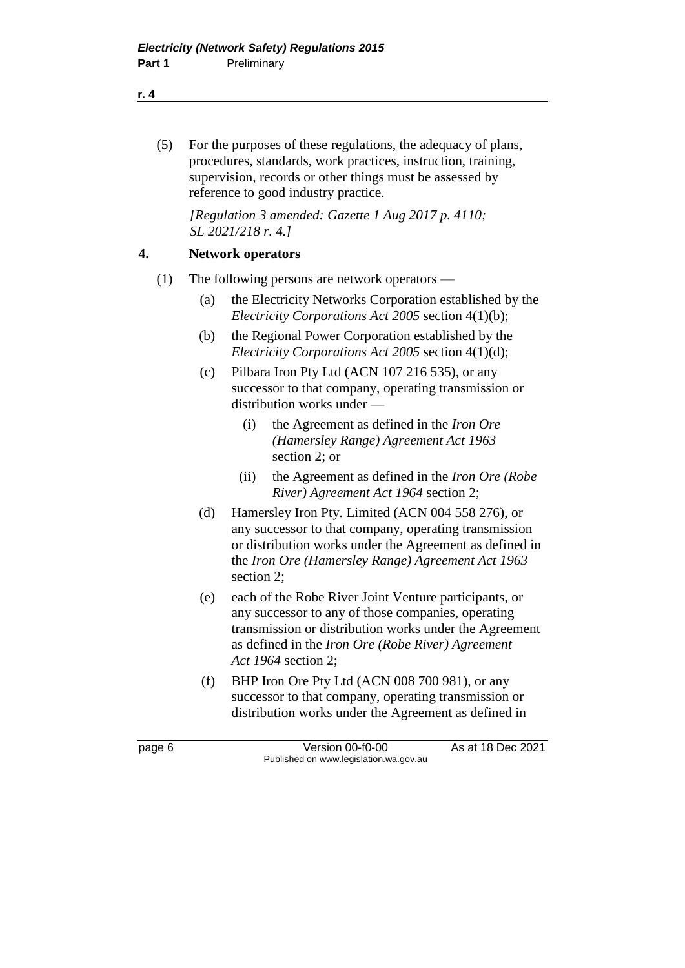(5) For the purposes of these regulations, the adequacy of plans, procedures, standards, work practices, instruction, training, supervision, records or other things must be assessed by reference to good industry practice.

*[Regulation 3 amended: Gazette 1 Aug 2017 p. 4110; SL 2021/218 r. 4.]*

#### **4. Network operators**

- (1) The following persons are network operators
	- (a) the Electricity Networks Corporation established by the *Electricity Corporations Act 2005* section 4(1)(b);
	- (b) the Regional Power Corporation established by the *Electricity Corporations Act 2005* section 4(1)(d);
	- (c) Pilbara Iron Pty Ltd (ACN 107 216 535), or any successor to that company, operating transmission or distribution works under —
		- (i) the Agreement as defined in the *Iron Ore (Hamersley Range) Agreement Act 1963* section 2; or
		- (ii) the Agreement as defined in the *Iron Ore (Robe River) Agreement Act 1964* section 2;
	- (d) Hamersley Iron Pty. Limited (ACN 004 558 276), or any successor to that company, operating transmission or distribution works under the Agreement as defined in the *Iron Ore (Hamersley Range) Agreement Act 1963* section 2;
	- (e) each of the Robe River Joint Venture participants, or any successor to any of those companies, operating transmission or distribution works under the Agreement as defined in the *Iron Ore (Robe River) Agreement Act 1964* section 2;
	- (f) BHP Iron Ore Pty Ltd (ACN 008 700 981), or any successor to that company, operating transmission or distribution works under the Agreement as defined in

#### **r. 4**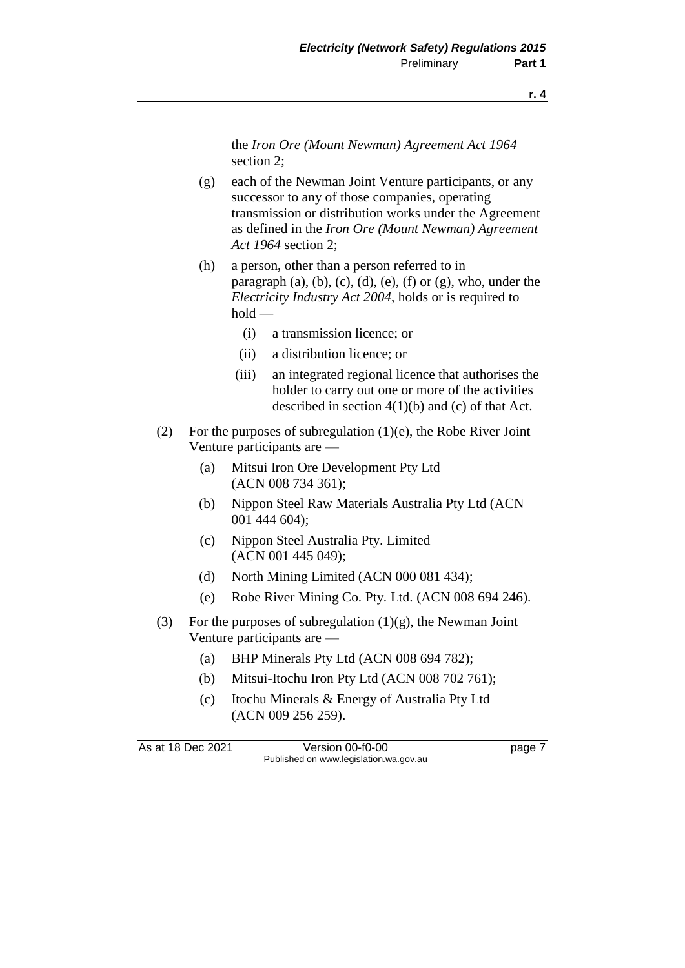the *Iron Ore (Mount Newman) Agreement Act 1964* section 2;

- (g) each of the Newman Joint Venture participants, or any successor to any of those companies, operating transmission or distribution works under the Agreement as defined in the *Iron Ore (Mount Newman) Agreement Act 1964* section 2;
- (h) a person, other than a person referred to in paragraph  $(a)$ ,  $(b)$ ,  $(c)$ ,  $(d)$ ,  $(e)$ ,  $(f)$  or  $(g)$ , who, under the *Electricity Industry Act 2004*, holds or is required to  $hold$ 
	- (i) a transmission licence; or
	- (ii) a distribution licence; or
	- (iii) an integrated regional licence that authorises the holder to carry out one or more of the activities described in section  $4(1)(b)$  and (c) of that Act.
- (2) For the purposes of subregulation  $(1)(e)$ , the Robe River Joint Venture participants are —
	- (a) Mitsui Iron Ore Development Pty Ltd (ACN 008 734 361);
	- (b) Nippon Steel Raw Materials Australia Pty Ltd (ACN 001 444 604);
	- (c) Nippon Steel Australia Pty. Limited (ACN 001 445 049);
	- (d) North Mining Limited (ACN 000 081 434);
	- (e) Robe River Mining Co. Pty. Ltd. (ACN 008 694 246).
- (3) For the purposes of subregulation  $(1)(g)$ , the Newman Joint Venture participants are —
	- (a) BHP Minerals Pty Ltd (ACN 008 694 782);
	- (b) Mitsui-Itochu Iron Pty Ltd (ACN 008 702 761);
	- (c) Itochu Minerals & Energy of Australia Pty Ltd (ACN 009 256 259).

As at 18 Dec 2021 Version 00-f0-00 Published on www.legislation.wa.gov.au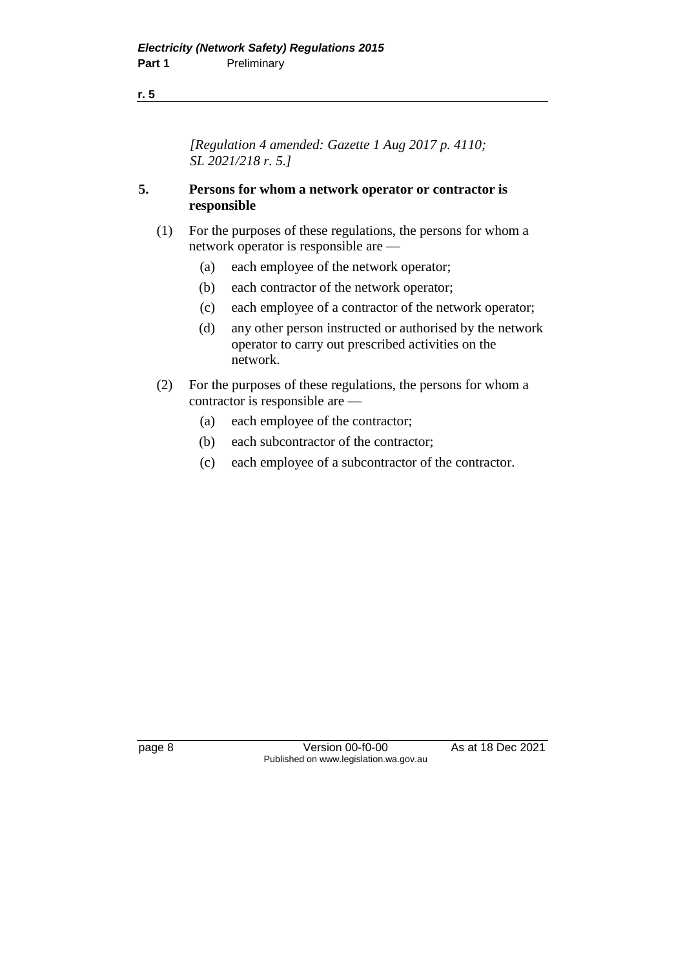#### **r. 5**

*[Regulation 4 amended: Gazette 1 Aug 2017 p. 4110; SL 2021/218 r. 5.]*

#### **5. Persons for whom a network operator or contractor is responsible**

- (1) For the purposes of these regulations, the persons for whom a network operator is responsible are —
	- (a) each employee of the network operator;
	- (b) each contractor of the network operator;
	- (c) each employee of a contractor of the network operator;
	- (d) any other person instructed or authorised by the network operator to carry out prescribed activities on the network.
- (2) For the purposes of these regulations, the persons for whom a contractor is responsible are —
	- (a) each employee of the contractor;
	- (b) each subcontractor of the contractor;
	- (c) each employee of a subcontractor of the contractor.

page 8 Version 00-f0-00 As at 18 Dec 2021 Published on www.legislation.wa.gov.au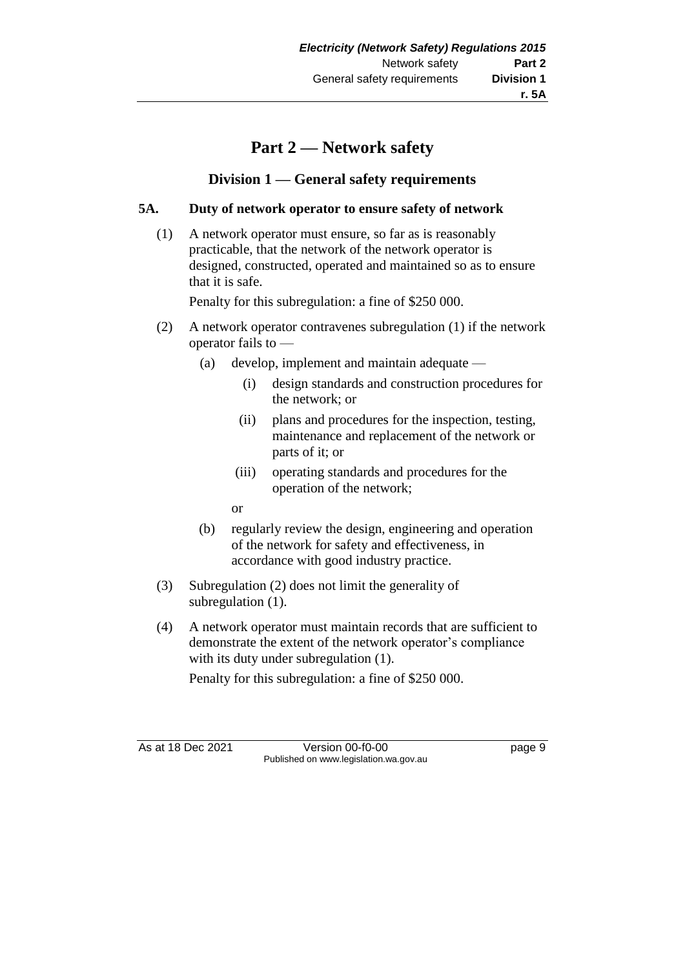## **Part 2 — Network safety**

## **Division 1 — General safety requirements**

## **5A. Duty of network operator to ensure safety of network**

(1) A network operator must ensure, so far as is reasonably practicable, that the network of the network operator is designed, constructed, operated and maintained so as to ensure that it is safe.

Penalty for this subregulation: a fine of \$250 000.

- (2) A network operator contravenes subregulation (1) if the network operator fails to —
	- (a) develop, implement and maintain adequate
		- (i) design standards and construction procedures for the network; or
		- (ii) plans and procedures for the inspection, testing, maintenance and replacement of the network or parts of it; or
		- (iii) operating standards and procedures for the operation of the network;

or

- (b) regularly review the design, engineering and operation of the network for safety and effectiveness, in accordance with good industry practice.
- (3) Subregulation (2) does not limit the generality of subregulation  $(1)$ .
- (4) A network operator must maintain records that are sufficient to demonstrate the extent of the network operator's compliance with its duty under subregulation  $(1)$ .

Penalty for this subregulation: a fine of \$250 000.

As at 18 Dec 2021 Version 00-f0-00 Published on www.legislation.wa.gov.au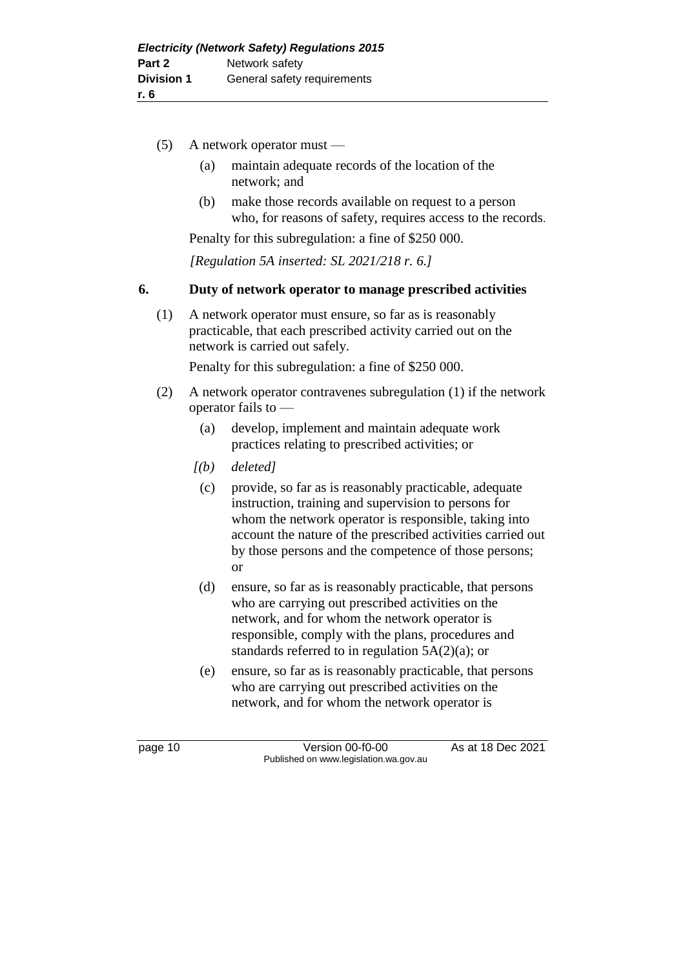- (5) A network operator must
	- (a) maintain adequate records of the location of the network; and
	- (b) make those records available on request to a person who, for reasons of safety, requires access to the records.

Penalty for this subregulation: a fine of \$250 000.

*[Regulation 5A inserted: SL 2021/218 r. 6.]*

#### **6. Duty of network operator to manage prescribed activities**

(1) A network operator must ensure, so far as is reasonably practicable, that each prescribed activity carried out on the network is carried out safely.

Penalty for this subregulation: a fine of \$250 000.

- (2) A network operator contravenes subregulation (1) if the network operator fails to —
	- (a) develop, implement and maintain adequate work practices relating to prescribed activities; or
	- *[(b) deleted]*
	- (c) provide, so far as is reasonably practicable, adequate instruction, training and supervision to persons for whom the network operator is responsible, taking into account the nature of the prescribed activities carried out by those persons and the competence of those persons; or
	- (d) ensure, so far as is reasonably practicable, that persons who are carrying out prescribed activities on the network, and for whom the network operator is responsible, comply with the plans, procedures and standards referred to in regulation 5A(2)(a); or
	- (e) ensure, so far as is reasonably practicable, that persons who are carrying out prescribed activities on the network, and for whom the network operator is

page 10 Version 00-f0-00 As at 18 Dec 2021 Published on www.legislation.wa.gov.au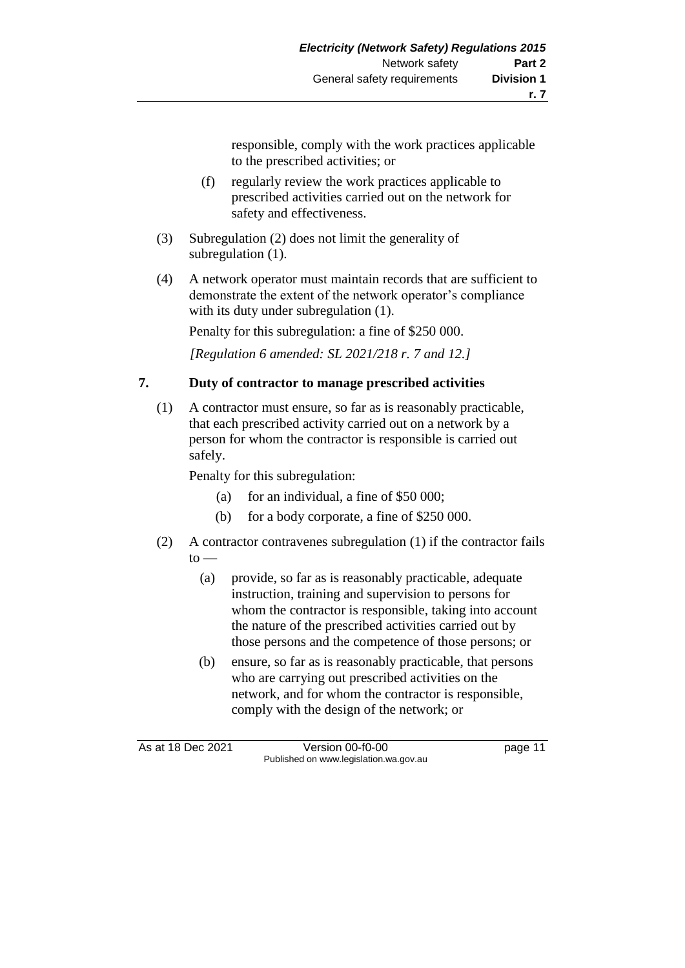responsible, comply with the work practices applicable to the prescribed activities; or

- (f) regularly review the work practices applicable to prescribed activities carried out on the network for safety and effectiveness.
- (3) Subregulation (2) does not limit the generality of subregulation (1).
- (4) A network operator must maintain records that are sufficient to demonstrate the extent of the network operator's compliance with its duty under subregulation (1).

Penalty for this subregulation: a fine of \$250 000.

*[Regulation 6 amended: SL 2021/218 r. 7 and 12.]*

## **7. Duty of contractor to manage prescribed activities**

(1) A contractor must ensure, so far as is reasonably practicable, that each prescribed activity carried out on a network by a person for whom the contractor is responsible is carried out safely.

Penalty for this subregulation:

- (a) for an individual, a fine of  $$50,000$ ;
- (b) for a body corporate, a fine of \$250 000.
- (2) A contractor contravenes subregulation (1) if the contractor fails  $to -$ 
	- (a) provide, so far as is reasonably practicable, adequate instruction, training and supervision to persons for whom the contractor is responsible, taking into account the nature of the prescribed activities carried out by those persons and the competence of those persons; or
	- (b) ensure, so far as is reasonably practicable, that persons who are carrying out prescribed activities on the network, and for whom the contractor is responsible, comply with the design of the network; or

As at 18 Dec 2021 Version 00-f0-00 page 11 Published on www.legislation.wa.gov.au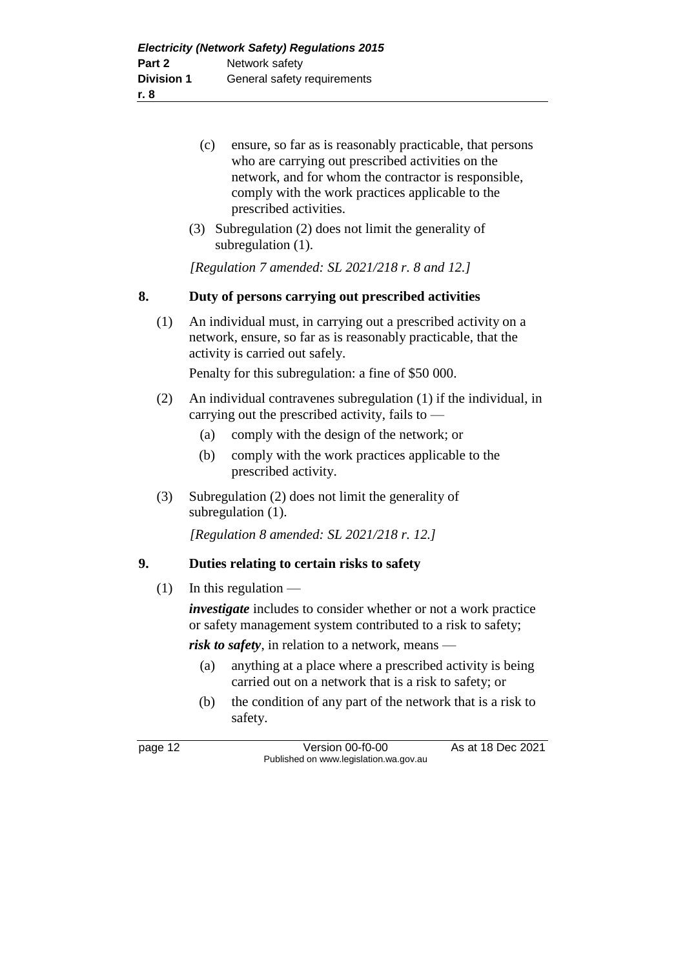- (c) ensure, so far as is reasonably practicable, that persons who are carrying out prescribed activities on the network, and for whom the contractor is responsible, comply with the work practices applicable to the prescribed activities.
- (3) Subregulation (2) does not limit the generality of subregulation  $(1)$ .

*[Regulation 7 amended: SL 2021/218 r. 8 and 12.]*

### **8. Duty of persons carrying out prescribed activities**

(1) An individual must, in carrying out a prescribed activity on a network, ensure, so far as is reasonably practicable, that the activity is carried out safely.

Penalty for this subregulation: a fine of \$50 000.

- (2) An individual contravenes subregulation (1) if the individual, in carrying out the prescribed activity, fails to —
	- (a) comply with the design of the network; or
	- (b) comply with the work practices applicable to the prescribed activity.
- (3) Subregulation (2) does not limit the generality of subregulation (1).

*[Regulation 8 amended: SL 2021/218 r. 12.]*

## **9. Duties relating to certain risks to safety**

 $(1)$  In this regulation —

*investigate* includes to consider whether or not a work practice or safety management system contributed to a risk to safety;

*risk to safety*, in relation to a network, means —

- (a) anything at a place where a prescribed activity is being carried out on a network that is a risk to safety; or
- (b) the condition of any part of the network that is a risk to safety.

page 12 Version 00-f0-00 As at 18 Dec 2021 Published on www.legislation.wa.gov.au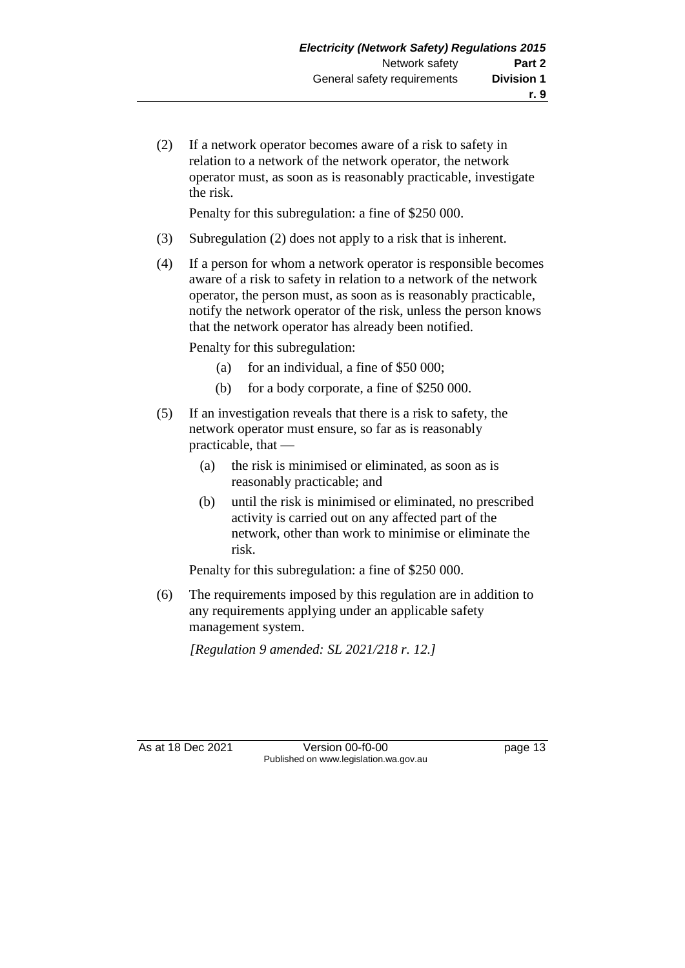(2) If a network operator becomes aware of a risk to safety in relation to a network of the network operator, the network operator must, as soon as is reasonably practicable, investigate the risk.

Penalty for this subregulation: a fine of \$250 000.

- (3) Subregulation (2) does not apply to a risk that is inherent.
- (4) If a person for whom a network operator is responsible becomes aware of a risk to safety in relation to a network of the network operator, the person must, as soon as is reasonably practicable, notify the network operator of the risk, unless the person knows that the network operator has already been notified.

Penalty for this subregulation:

- (a) for an individual, a fine of  $$50,000$ ;
- (b) for a body corporate, a fine of \$250 000.
- (5) If an investigation reveals that there is a risk to safety, the network operator must ensure, so far as is reasonably practicable, that —
	- (a) the risk is minimised or eliminated, as soon as is reasonably practicable; and
	- (b) until the risk is minimised or eliminated, no prescribed activity is carried out on any affected part of the network, other than work to minimise or eliminate the risk.

Penalty for this subregulation: a fine of \$250 000.

(6) The requirements imposed by this regulation are in addition to any requirements applying under an applicable safety management system.

*[Regulation 9 amended: SL 2021/218 r. 12.]*

As at 18 Dec 2021 Version 00-f0-00 page 13 Published on www.legislation.wa.gov.au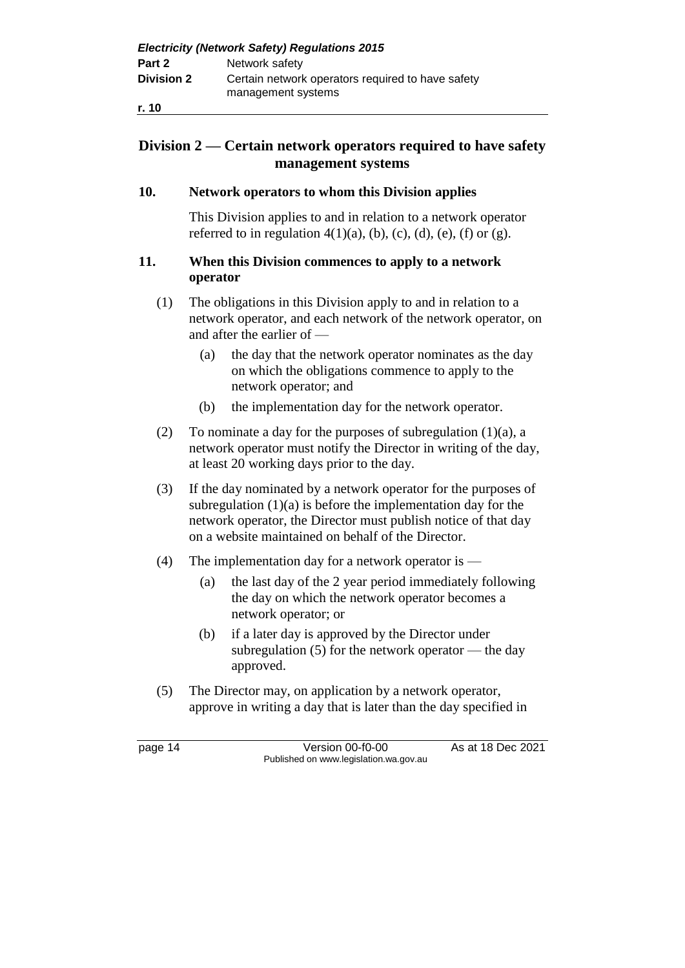## **Division 2 — Certain network operators required to have safety management systems**

#### **10. Network operators to whom this Division applies**

This Division applies to and in relation to a network operator referred to in regulation  $4(1)(a)$ , (b), (c), (d), (e), (f) or (g).

#### **11. When this Division commences to apply to a network operator**

- (1) The obligations in this Division apply to and in relation to a network operator, and each network of the network operator, on and after the earlier of —
	- (a) the day that the network operator nominates as the day on which the obligations commence to apply to the network operator; and
	- (b) the implementation day for the network operator.
- (2) To nominate a day for the purposes of subregulation  $(1)(a)$ , a network operator must notify the Director in writing of the day, at least 20 working days prior to the day.
- (3) If the day nominated by a network operator for the purposes of subregulation  $(1)(a)$  is before the implementation day for the network operator, the Director must publish notice of that day on a website maintained on behalf of the Director.
- (4) The implementation day for a network operator is
	- (a) the last day of the 2 year period immediately following the day on which the network operator becomes a network operator; or
	- (b) if a later day is approved by the Director under subregulation  $(5)$  for the network operator — the day approved.
- (5) The Director may, on application by a network operator, approve in writing a day that is later than the day specified in

page 14 Version 00-f0-00 As at 18 Dec 2021 Published on www.legislation.wa.gov.au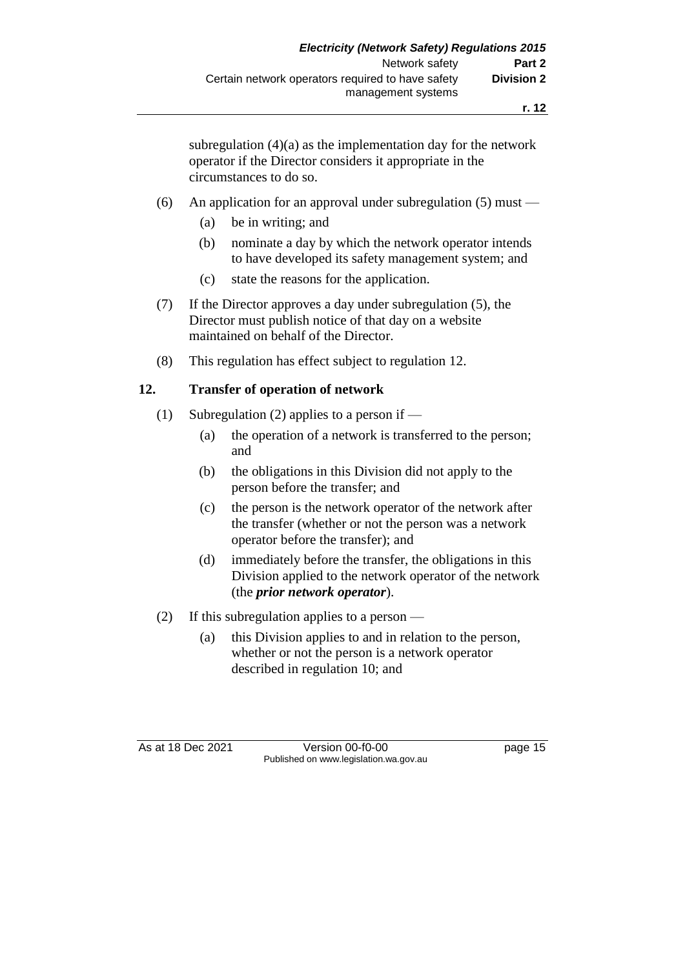subregulation  $(4)(a)$  as the implementation day for the network operator if the Director considers it appropriate in the circumstances to do so.

#### (6) An application for an approval under subregulation (5) must —

- (a) be in writing; and
- (b) nominate a day by which the network operator intends to have developed its safety management system; and
- (c) state the reasons for the application.
- (7) If the Director approves a day under subregulation (5), the Director must publish notice of that day on a website maintained on behalf of the Director.
- (8) This regulation has effect subject to regulation 12.

#### **12. Transfer of operation of network**

- (1) Subregulation (2) applies to a person if
	- (a) the operation of a network is transferred to the person; and
	- (b) the obligations in this Division did not apply to the person before the transfer; and
	- (c) the person is the network operator of the network after the transfer (whether or not the person was a network operator before the transfer); and
	- (d) immediately before the transfer, the obligations in this Division applied to the network operator of the network (the *prior network operator*).
- (2) If this subregulation applies to a person
	- (a) this Division applies to and in relation to the person, whether or not the person is a network operator described in regulation 10; and

As at 18 Dec 2021 Version 00-f0-00 page 15 Published on www.legislation.wa.gov.au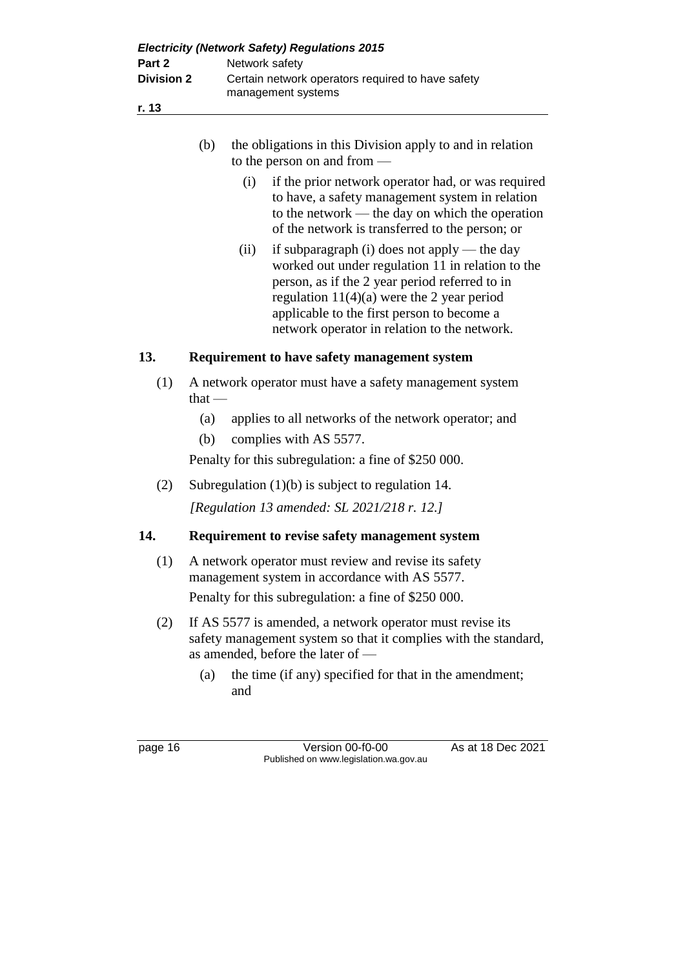| (b) | the obligations in this Division apply to and in relation |
|-----|-----------------------------------------------------------|
|     | to the person on and from $-$                             |

- (i) if the prior network operator had, or was required to have, a safety management system in relation to the network — the day on which the operation of the network is transferred to the person; or
- (ii) if subparagraph (i) does not apply the day worked out under regulation 11 in relation to the person, as if the 2 year period referred to in regulation 11(4)(a) were the 2 year period applicable to the first person to become a network operator in relation to the network.

## **13. Requirement to have safety management system**

- (1) A network operator must have a safety management system that —
	- (a) applies to all networks of the network operator; and
	- (b) complies with AS 5577.

Penalty for this subregulation: a fine of \$250 000.

(2) Subregulation (1)(b) is subject to regulation 14.

## *[Regulation 13 amended: SL 2021/218 r. 12.]*

## **14. Requirement to revise safety management system**

- (1) A network operator must review and revise its safety management system in accordance with AS 5577. Penalty for this subregulation: a fine of \$250 000.
- (2) If AS 5577 is amended, a network operator must revise its safety management system so that it complies with the standard, as amended, before the later of —
	- (a) the time (if any) specified for that in the amendment; and

page 16 Version 00-f0-00 As at 18 Dec 2021 Published on www.legislation.wa.gov.au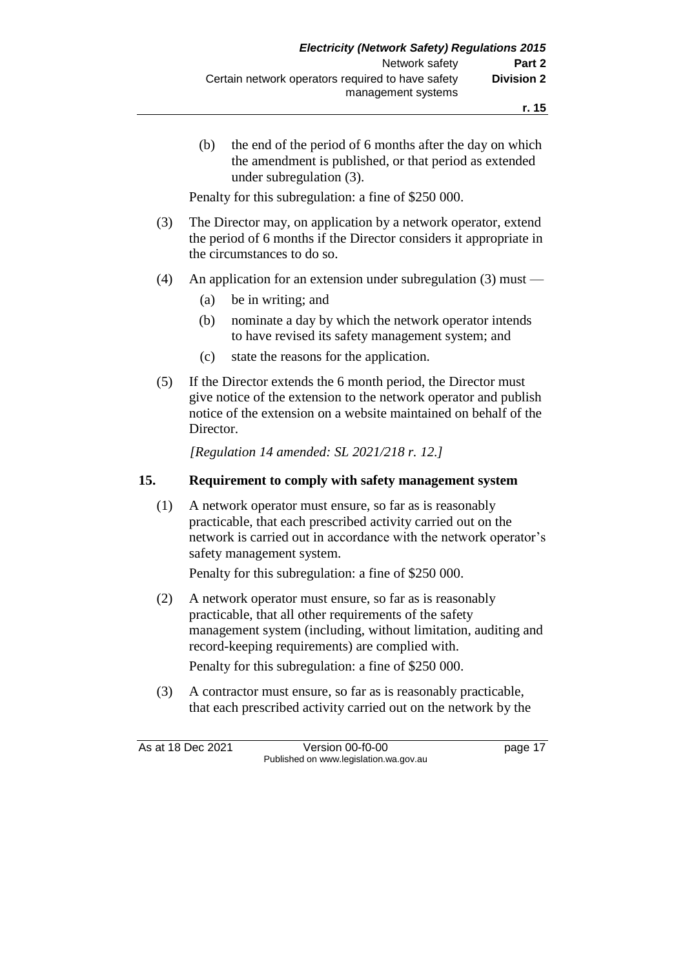(b) the end of the period of 6 months after the day on which the amendment is published, or that period as extended under subregulation (3).

Penalty for this subregulation: a fine of \$250 000.

- (3) The Director may, on application by a network operator, extend the period of 6 months if the Director considers it appropriate in the circumstances to do so.
- (4) An application for an extension under subregulation (3) must
	- (a) be in writing; and
	- (b) nominate a day by which the network operator intends to have revised its safety management system; and
	- (c) state the reasons for the application.
- (5) If the Director extends the 6 month period, the Director must give notice of the extension to the network operator and publish notice of the extension on a website maintained on behalf of the Director.

*[Regulation 14 amended: SL 2021/218 r. 12.]*

#### **15. Requirement to comply with safety management system**

(1) A network operator must ensure, so far as is reasonably practicable, that each prescribed activity carried out on the network is carried out in accordance with the network operator's safety management system.

Penalty for this subregulation: a fine of \$250 000.

(2) A network operator must ensure, so far as is reasonably practicable, that all other requirements of the safety management system (including, without limitation, auditing and record-keeping requirements) are complied with.

Penalty for this subregulation: a fine of \$250 000.

(3) A contractor must ensure, so far as is reasonably practicable, that each prescribed activity carried out on the network by the

As at 18 Dec 2021 Version 00-f0-00 page 17 Published on www.legislation.wa.gov.au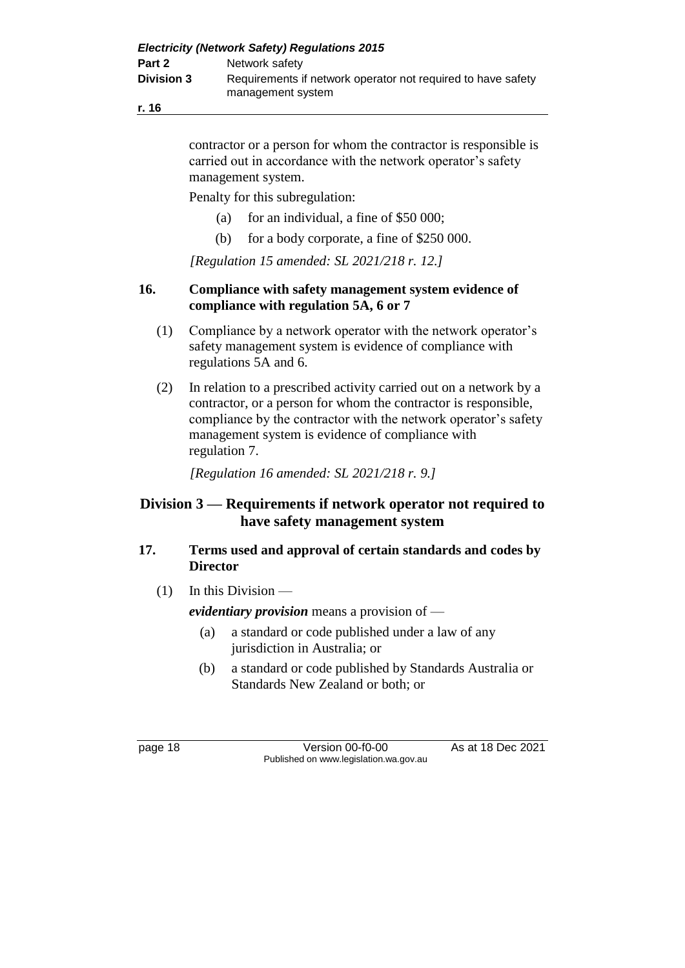**r. 16**

contractor or a person for whom the contractor is responsible is carried out in accordance with the network operator's safety management system.

Penalty for this subregulation:

- (a) for an individual, a fine of \$50 000;
- (b) for a body corporate, a fine of \$250 000.

*[Regulation 15 amended: SL 2021/218 r. 12.]*

## **16. Compliance with safety management system evidence of compliance with regulation 5A, 6 or 7**

- (1) Compliance by a network operator with the network operator's safety management system is evidence of compliance with regulations 5A and 6.
- (2) In relation to a prescribed activity carried out on a network by a contractor, or a person for whom the contractor is responsible, compliance by the contractor with the network operator's safety management system is evidence of compliance with regulation 7.

*[Regulation 16 amended: SL 2021/218 r. 9.]*

## **Division 3 — Requirements if network operator not required to have safety management system**

## **17. Terms used and approval of certain standards and codes by Director**

 $(1)$  In this Division —

*evidentiary provision* means a provision of —

- (a) a standard or code published under a law of any jurisdiction in Australia; or
- (b) a standard or code published by Standards Australia or Standards New Zealand or both; or

page 18 Version 00-f0-00 As at 18 Dec 2021 Published on www.legislation.wa.gov.au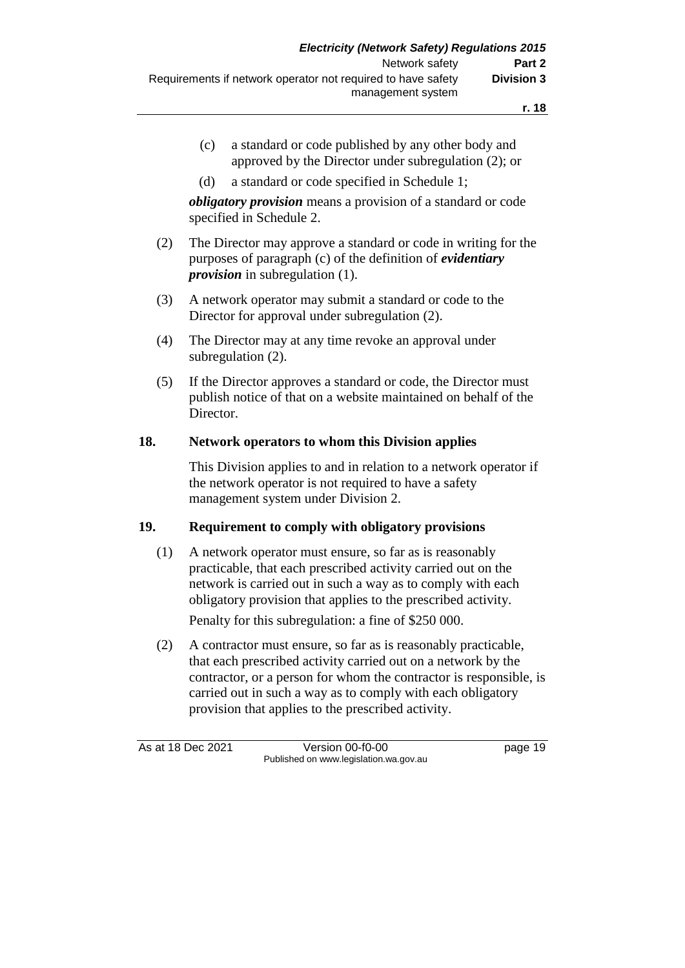- (c) a standard or code published by any other body and approved by the Director under subregulation (2); or
- (d) a standard or code specified in Schedule 1;

*obligatory provision* means a provision of a standard or code specified in Schedule 2.

- (2) The Director may approve a standard or code in writing for the purposes of paragraph (c) of the definition of *evidentiary provision* in subregulation (1).
- (3) A network operator may submit a standard or code to the Director for approval under subregulation (2).
- (4) The Director may at any time revoke an approval under subregulation (2).
- (5) If the Director approves a standard or code, the Director must publish notice of that on a website maintained on behalf of the Director.

#### **18. Network operators to whom this Division applies**

This Division applies to and in relation to a network operator if the network operator is not required to have a safety management system under Division 2.

#### **19. Requirement to comply with obligatory provisions**

(1) A network operator must ensure, so far as is reasonably practicable, that each prescribed activity carried out on the network is carried out in such a way as to comply with each obligatory provision that applies to the prescribed activity.

Penalty for this subregulation: a fine of \$250 000.

(2) A contractor must ensure, so far as is reasonably practicable, that each prescribed activity carried out on a network by the contractor, or a person for whom the contractor is responsible, is carried out in such a way as to comply with each obligatory provision that applies to the prescribed activity.

As at 18 Dec 2021 Version 00-f0-00 page 19 Published on www.legislation.wa.gov.au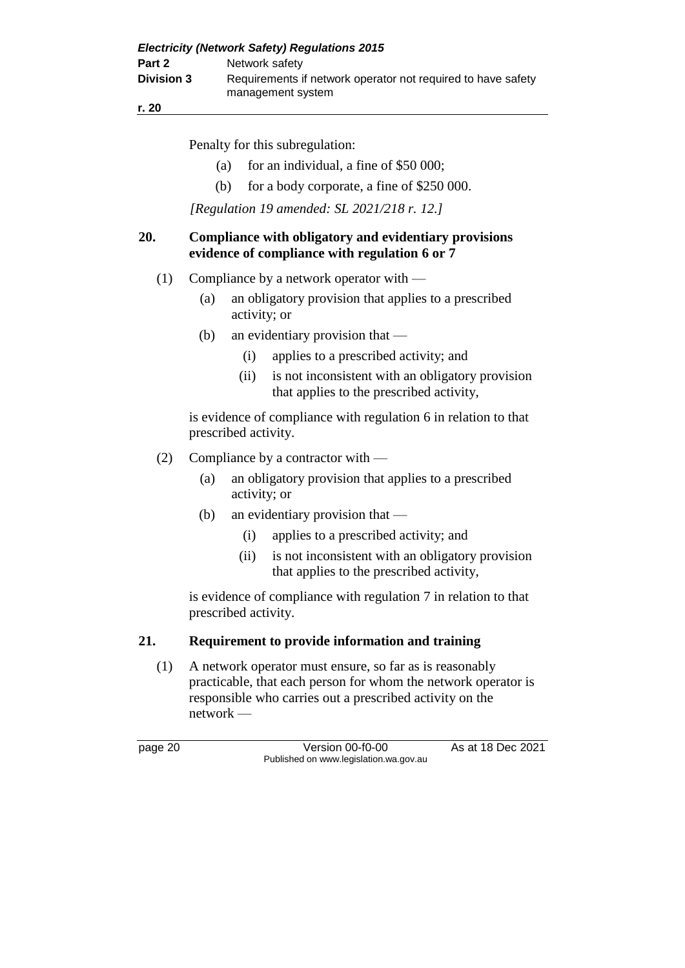| <b>Electricity (Network Safety) Regulations 2015</b> |                                                                                   |  |
|------------------------------------------------------|-----------------------------------------------------------------------------------|--|
| Part 2                                               | Network safety                                                                    |  |
| <b>Division 3</b>                                    | Requirements if network operator not required to have safety<br>management system |  |

**r. 20**

Penalty for this subregulation:

- (a) for an individual, a fine of  $$50,000$ ;
- (b) for a body corporate, a fine of \$250 000.

*[Regulation 19 amended: SL 2021/218 r. 12.]*

#### **20. Compliance with obligatory and evidentiary provisions evidence of compliance with regulation 6 or 7**

- (1) Compliance by a network operator with
	- (a) an obligatory provision that applies to a prescribed activity; or
	- (b) an evidentiary provision that
		- (i) applies to a prescribed activity; and
		- (ii) is not inconsistent with an obligatory provision that applies to the prescribed activity,

is evidence of compliance with regulation 6 in relation to that prescribed activity.

- (2) Compliance by a contractor with
	- (a) an obligatory provision that applies to a prescribed activity; or
	- (b) an evidentiary provision that
		- (i) applies to a prescribed activity; and
		- (ii) is not inconsistent with an obligatory provision that applies to the prescribed activity,

is evidence of compliance with regulation 7 in relation to that prescribed activity.

## **21. Requirement to provide information and training**

(1) A network operator must ensure, so far as is reasonably practicable, that each person for whom the network operator is responsible who carries out a prescribed activity on the network —

page 20 **Version 00-f0-00** As at 18 Dec 2021 Published on www.legislation.wa.gov.au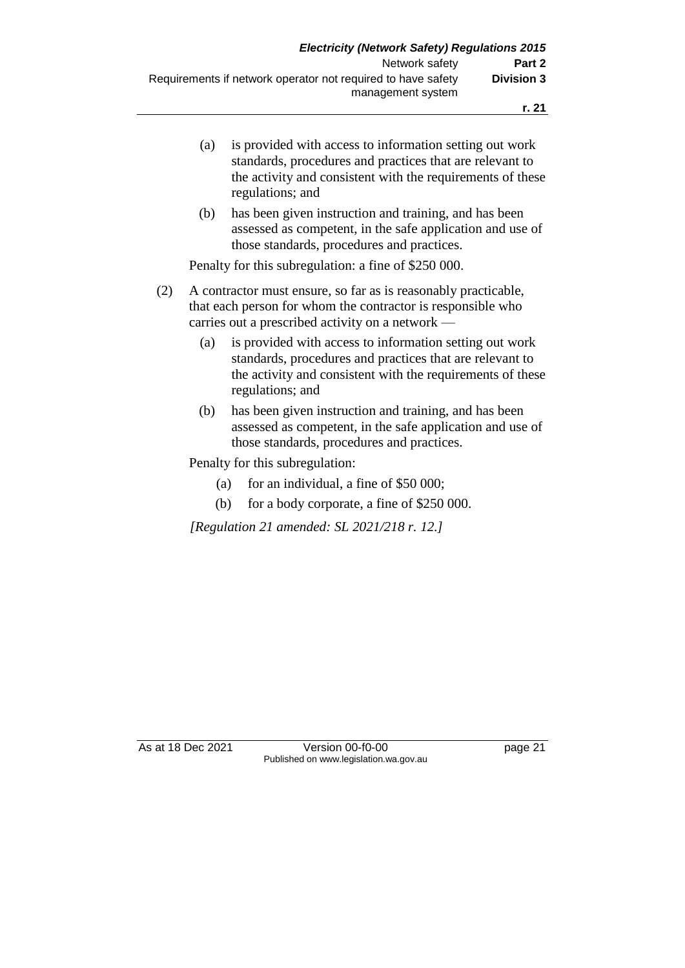- (a) is provided with access to information setting out work standards, procedures and practices that are relevant to the activity and consistent with the requirements of these regulations; and
- (b) has been given instruction and training, and has been assessed as competent, in the safe application and use of those standards, procedures and practices.

Penalty for this subregulation: a fine of \$250 000.

- (2) A contractor must ensure, so far as is reasonably practicable, that each person for whom the contractor is responsible who carries out a prescribed activity on a network —
	- (a) is provided with access to information setting out work standards, procedures and practices that are relevant to the activity and consistent with the requirements of these regulations; and
	- (b) has been given instruction and training, and has been assessed as competent, in the safe application and use of those standards, procedures and practices.

Penalty for this subregulation:

- (a) for an individual, a fine of  $$50,000$ ;
- (b) for a body corporate, a fine of \$250 000.

*[Regulation 21 amended: SL 2021/218 r. 12.]*

As at 18 Dec 2021 Version 00-f0-00 page 21 Published on www.legislation.wa.gov.au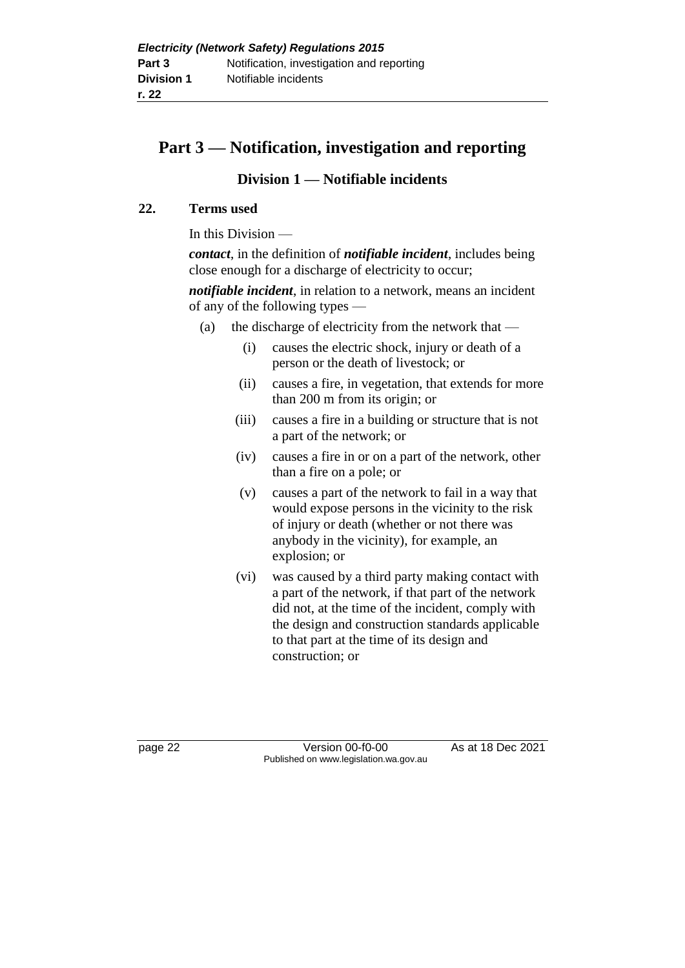## **Part 3 — Notification, investigation and reporting**

## **Division 1 — Notifiable incidents**

### **22. Terms used**

In this Division —

*contact*, in the definition of *notifiable incident*, includes being close enough for a discharge of electricity to occur;

*notifiable incident*, in relation to a network, means an incident of any of the following types —

- (a) the discharge of electricity from the network that  $-$ 
	- (i) causes the electric shock, injury or death of a person or the death of livestock; or
	- (ii) causes a fire, in vegetation, that extends for more than 200 m from its origin; or
	- (iii) causes a fire in a building or structure that is not a part of the network; or
	- (iv) causes a fire in or on a part of the network, other than a fire on a pole; or
	- (v) causes a part of the network to fail in a way that would expose persons in the vicinity to the risk of injury or death (whether or not there was anybody in the vicinity), for example, an explosion; or
	- (vi) was caused by a third party making contact with a part of the network, if that part of the network did not, at the time of the incident, comply with the design and construction standards applicable to that part at the time of its design and construction; or

page 22 Version 00-f0-00 As at 18 Dec 2021 Published on www.legislation.wa.gov.au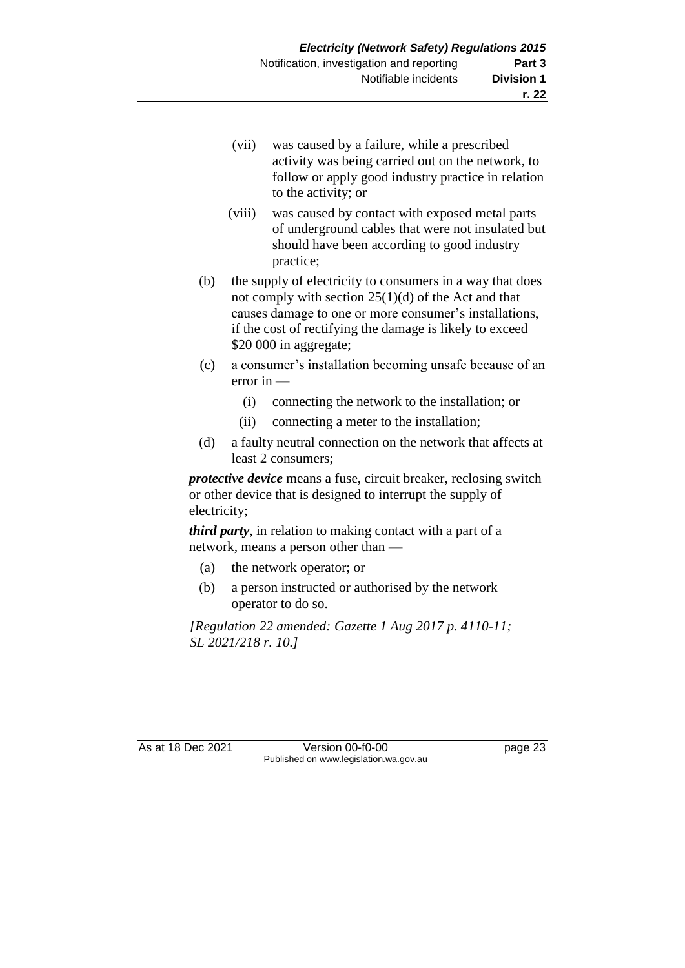- (vii) was caused by a failure, while a prescribed activity was being carried out on the network, to follow or apply good industry practice in relation to the activity; or
- (viii) was caused by contact with exposed metal parts of underground cables that were not insulated but should have been according to good industry practice;
- (b) the supply of electricity to consumers in a way that does not comply with section 25(1)(d) of the Act and that causes damage to one or more consumer's installations, if the cost of rectifying the damage is likely to exceed \$20 000 in aggregate;
- (c) a consumer's installation becoming unsafe because of an error in —
	- (i) connecting the network to the installation; or
	- (ii) connecting a meter to the installation;
- (d) a faulty neutral connection on the network that affects at least 2 consumers;

*protective device* means a fuse, circuit breaker, reclosing switch or other device that is designed to interrupt the supply of electricity;

*third party*, in relation to making contact with a part of a network, means a person other than —

- (a) the network operator; or
- (b) a person instructed or authorised by the network operator to do so.

*[Regulation 22 amended: Gazette 1 Aug 2017 p. 4110-11; SL 2021/218 r. 10.]*

As at 18 Dec 2021 Version 00-f0-00 page 23 Published on www.legislation.wa.gov.au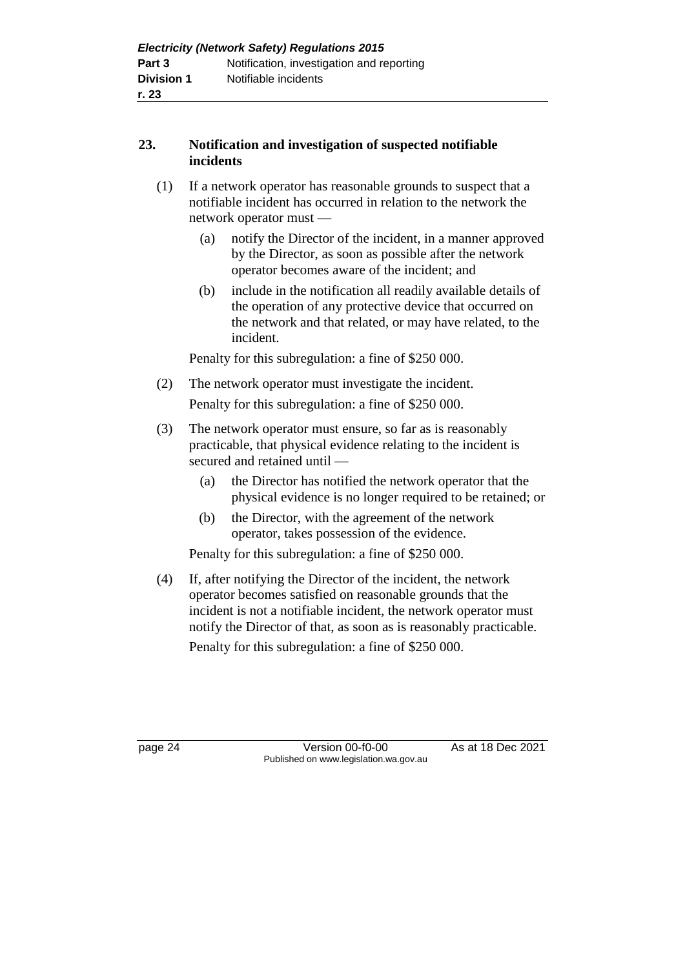## **23. Notification and investigation of suspected notifiable incidents**

- (1) If a network operator has reasonable grounds to suspect that a notifiable incident has occurred in relation to the network the network operator must —
	- (a) notify the Director of the incident, in a manner approved by the Director, as soon as possible after the network operator becomes aware of the incident; and
	- (b) include in the notification all readily available details of the operation of any protective device that occurred on the network and that related, or may have related, to the incident.

Penalty for this subregulation: a fine of \$250 000.

(2) The network operator must investigate the incident.

Penalty for this subregulation: a fine of \$250 000.

- (3) The network operator must ensure, so far as is reasonably practicable, that physical evidence relating to the incident is secured and retained until —
	- (a) the Director has notified the network operator that the physical evidence is no longer required to be retained; or
	- (b) the Director, with the agreement of the network operator, takes possession of the evidence.

Penalty for this subregulation: a fine of \$250 000.

(4) If, after notifying the Director of the incident, the network operator becomes satisfied on reasonable grounds that the incident is not a notifiable incident, the network operator must notify the Director of that, as soon as is reasonably practicable. Penalty for this subregulation: a fine of \$250 000.

page 24 Version 00-f0-00 As at 18 Dec 2021 Published on www.legislation.wa.gov.au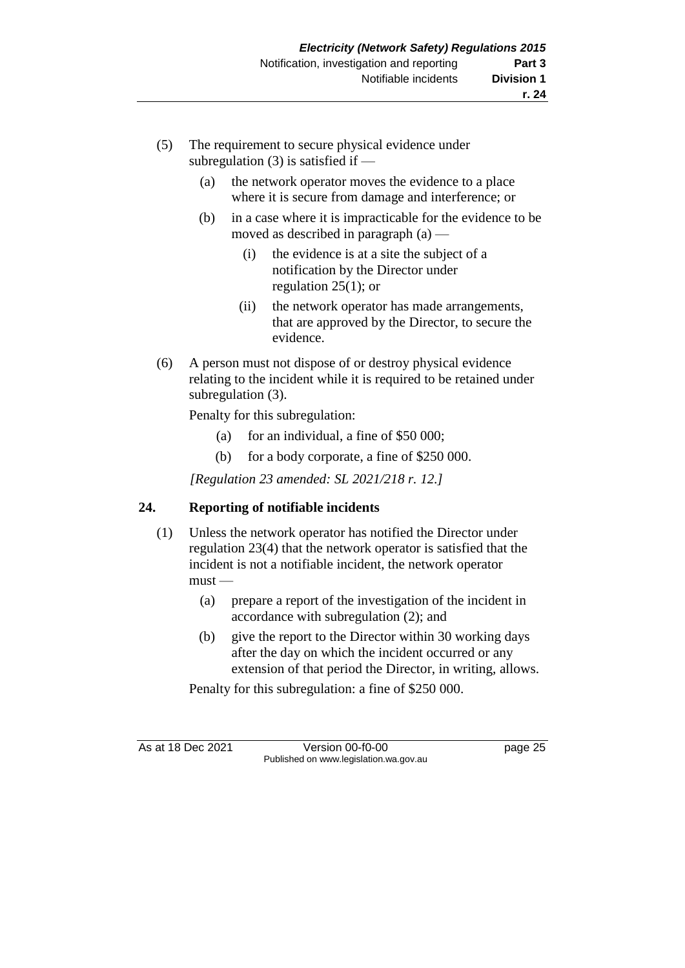- (5) The requirement to secure physical evidence under subregulation  $(3)$  is satisfied if —
	- (a) the network operator moves the evidence to a place where it is secure from damage and interference; or
	- (b) in a case where it is impracticable for the evidence to be moved as described in paragraph (a) —
		- (i) the evidence is at a site the subject of a notification by the Director under regulation 25(1); or
		- (ii) the network operator has made arrangements, that are approved by the Director, to secure the evidence.
- (6) A person must not dispose of or destroy physical evidence relating to the incident while it is required to be retained under subregulation (3).

Penalty for this subregulation:

- (a) for an individual, a fine of \$50 000;
- (b) for a body corporate, a fine of \$250 000.

*[Regulation 23 amended: SL 2021/218 r. 12.]*

## **24. Reporting of notifiable incidents**

- (1) Unless the network operator has notified the Director under regulation 23(4) that the network operator is satisfied that the incident is not a notifiable incident, the network operator must —
	- (a) prepare a report of the investigation of the incident in accordance with subregulation (2); and
	- (b) give the report to the Director within 30 working days after the day on which the incident occurred or any extension of that period the Director, in writing, allows.

Penalty for this subregulation: a fine of \$250 000.

As at 18 Dec 2021 Version 00-f0-00 Page 25 Published on www.legislation.wa.gov.au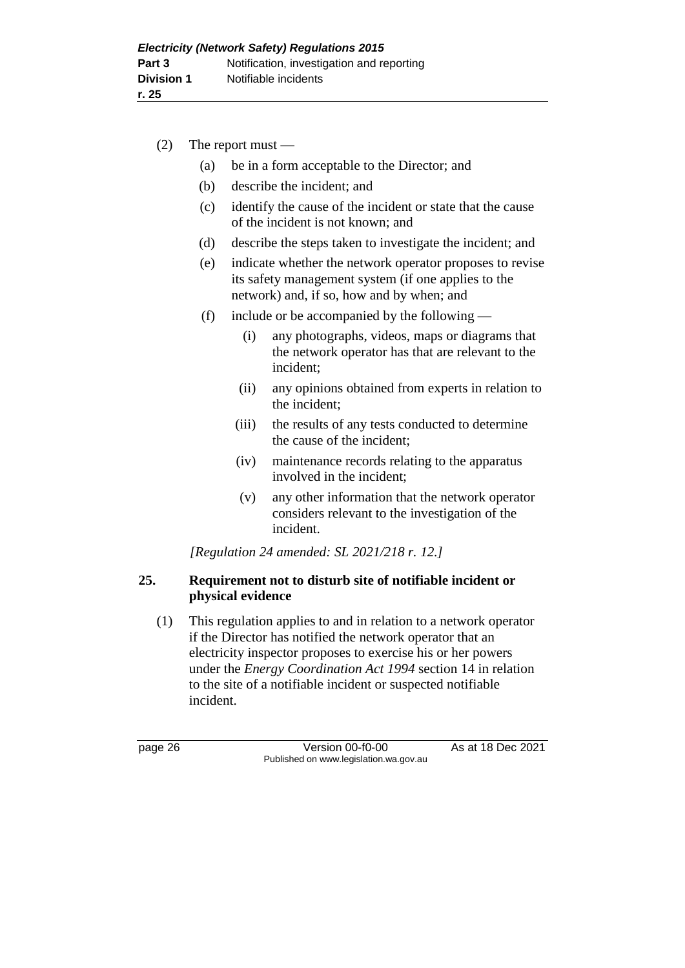| (2) |     | The report must $-$ |                                                                                                                                                              |
|-----|-----|---------------------|--------------------------------------------------------------------------------------------------------------------------------------------------------------|
|     | (a) |                     | be in a form acceptable to the Director; and                                                                                                                 |
|     | (b) |                     | describe the incident; and                                                                                                                                   |
|     | (c) |                     | identify the cause of the incident or state that the cause<br>of the incident is not known; and                                                              |
|     | (d) |                     | describe the steps taken to investigate the incident; and                                                                                                    |
|     | (e) |                     | indicate whether the network operator proposes to revise<br>its safety management system (if one applies to the<br>network) and, if so, how and by when; and |
|     | (f) |                     | include or be accompanied by the following —                                                                                                                 |
|     |     | (i)                 | any photographs, videos, maps or diagrams that<br>the network operator has that are relevant to the<br>incident;                                             |
|     |     | (ii)                | any opinions obtained from experts in relation to<br>the incident;                                                                                           |
|     |     | (iii)               | the results of any tests conducted to determine<br>the cause of the incident;                                                                                |
|     |     | (iv)                | maintenance records relating to the apparatus<br>involved in the incident;                                                                                   |
|     |     | (v)                 | any other information that the network operator                                                                                                              |

considers relevant to the investigation of the incident.

*[Regulation 24 amended: SL 2021/218 r. 12.]*

## **25. Requirement not to disturb site of notifiable incident or physical evidence**

(1) This regulation applies to and in relation to a network operator if the Director has notified the network operator that an electricity inspector proposes to exercise his or her powers under the *Energy Coordination Act 1994* section 14 in relation to the site of a notifiable incident or suspected notifiable incident.

page 26 **Version 00-f0-00** As at 18 Dec 2021 Published on www.legislation.wa.gov.au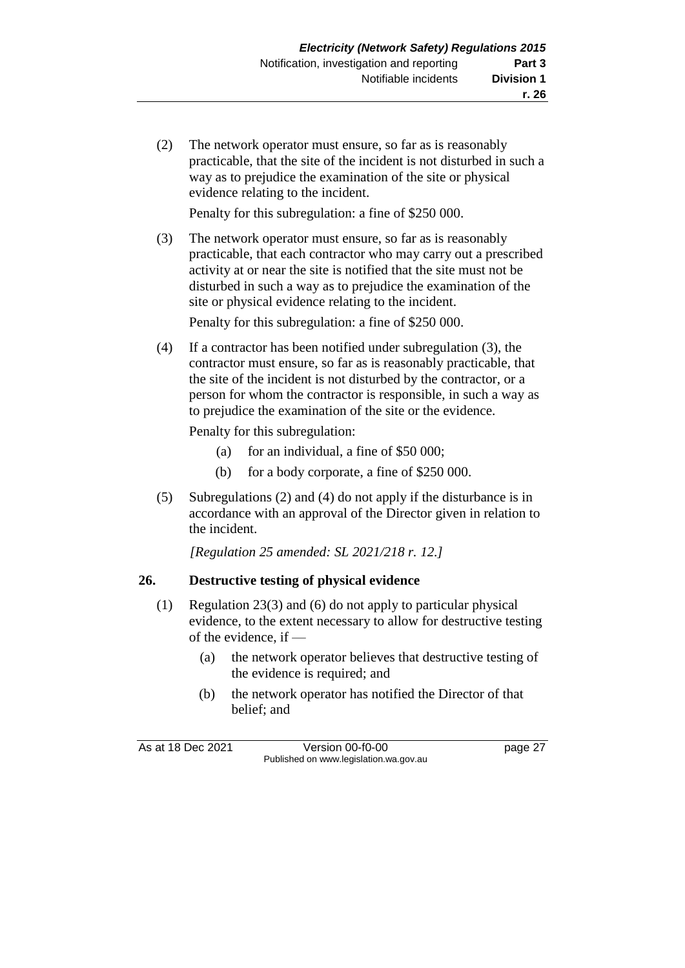(2) The network operator must ensure, so far as is reasonably practicable, that the site of the incident is not disturbed in such a way as to prejudice the examination of the site or physical evidence relating to the incident.

Penalty for this subregulation: a fine of \$250 000.

(3) The network operator must ensure, so far as is reasonably practicable, that each contractor who may carry out a prescribed activity at or near the site is notified that the site must not be disturbed in such a way as to prejudice the examination of the site or physical evidence relating to the incident.

Penalty for this subregulation: a fine of \$250 000.

(4) If a contractor has been notified under subregulation (3), the contractor must ensure, so far as is reasonably practicable, that the site of the incident is not disturbed by the contractor, or a person for whom the contractor is responsible, in such a way as to prejudice the examination of the site or the evidence.

Penalty for this subregulation:

- (a) for an individual, a fine of  $$50,000$ ;
- (b) for a body corporate, a fine of \$250 000.
- (5) Subregulations (2) and (4) do not apply if the disturbance is in accordance with an approval of the Director given in relation to the incident.

*[Regulation 25 amended: SL 2021/218 r. 12.]*

## **26. Destructive testing of physical evidence**

- (1) Regulation 23(3) and (6) do not apply to particular physical evidence, to the extent necessary to allow for destructive testing of the evidence, if —
	- (a) the network operator believes that destructive testing of the evidence is required; and
	- (b) the network operator has notified the Director of that belief; and

As at 18 Dec 2021 Version 00-f0-00 Page 27 Published on www.legislation.wa.gov.au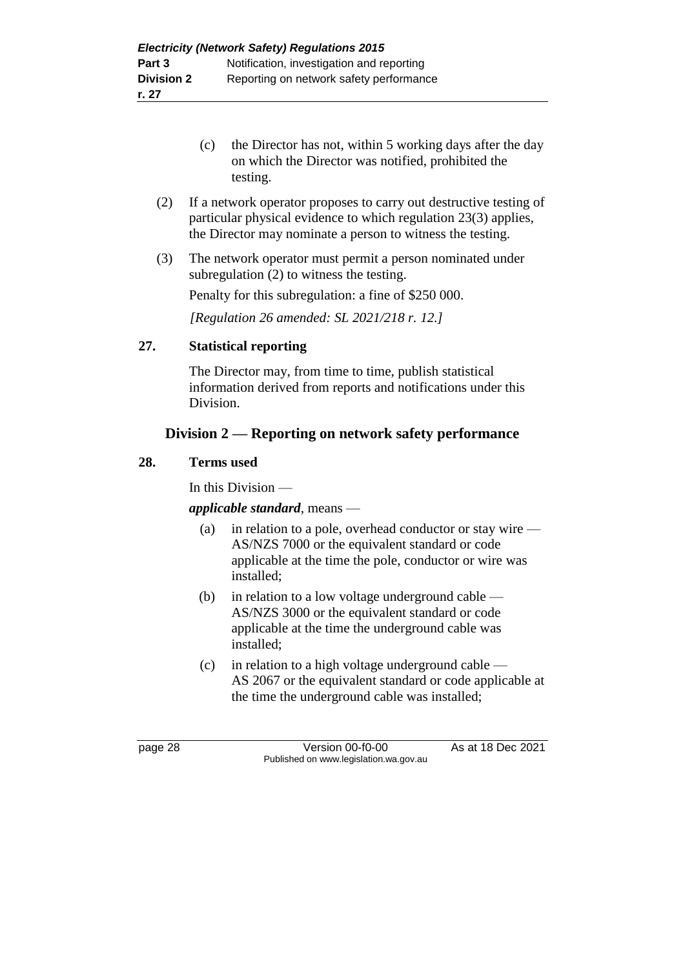- (c) the Director has not, within 5 working days after the day on which the Director was notified, prohibited the testing.
- (2) If a network operator proposes to carry out destructive testing of particular physical evidence to which regulation 23(3) applies, the Director may nominate a person to witness the testing.
- (3) The network operator must permit a person nominated under subregulation (2) to witness the testing.

Penalty for this subregulation: a fine of \$250 000.

*[Regulation 26 amended: SL 2021/218 r. 12.]*

#### **27. Statistical reporting**

The Director may, from time to time, publish statistical information derived from reports and notifications under this Division.

## **Division 2 — Reporting on network safety performance**

#### **28. Terms used**

In this Division —

#### *applicable standard*, means —

- (a) in relation to a pole, overhead conductor or stay wire AS/NZS 7000 or the equivalent standard or code applicable at the time the pole, conductor or wire was installed;
- (b) in relation to a low voltage underground cable AS/NZS 3000 or the equivalent standard or code applicable at the time the underground cable was installed;
- (c) in relation to a high voltage underground cable AS 2067 or the equivalent standard or code applicable at the time the underground cable was installed;

page 28 Version 00-f0-00 As at 18 Dec 2021 Published on www.legislation.wa.gov.au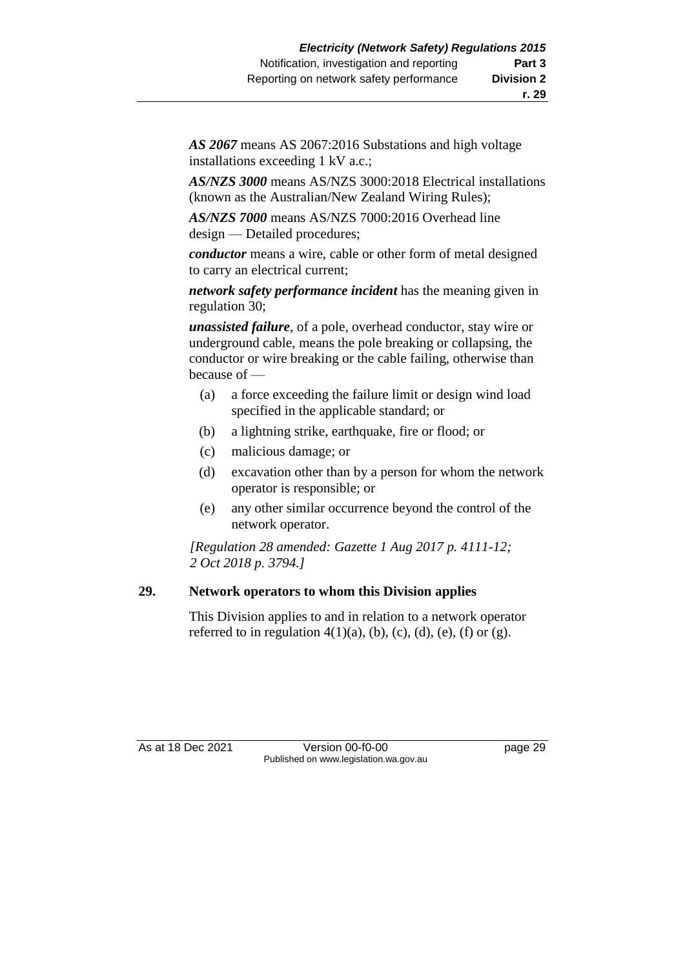*AS 2067* means AS 2067:2016 Substations and high voltage installations exceeding 1 kV a.c.;

*AS/NZS 3000* means AS/NZS 3000:2018 Electrical installations (known as the Australian/New Zealand Wiring Rules);

*AS/NZS 7000* means AS/NZS 7000:2016 Overhead line design — Detailed procedures;

*conductor* means a wire, cable or other form of metal designed to carry an electrical current;

*network safety performance incident* has the meaning given in regulation 30;

*unassisted failure*, of a pole, overhead conductor, stay wire or underground cable, means the pole breaking or collapsing, the conductor or wire breaking or the cable failing, otherwise than because of —

- (a) a force exceeding the failure limit or design wind load specified in the applicable standard; or
- (b) a lightning strike, earthquake, fire or flood; or
- (c) malicious damage; or
- (d) excavation other than by a person for whom the network operator is responsible; or
- (e) any other similar occurrence beyond the control of the network operator.

*[Regulation 28 amended: Gazette 1 Aug 2017 p. 4111-12; 2 Oct 2018 p. 3794.]*

#### **29. Network operators to whom this Division applies**

This Division applies to and in relation to a network operator referred to in regulation  $4(1)(a)$ ,  $(b)$ ,  $(c)$ ,  $(d)$ ,  $(e)$ ,  $(f)$  or  $(g)$ .

As at 18 Dec 2021 Version 00-f0-00 page 29 Published on www.legislation.wa.gov.au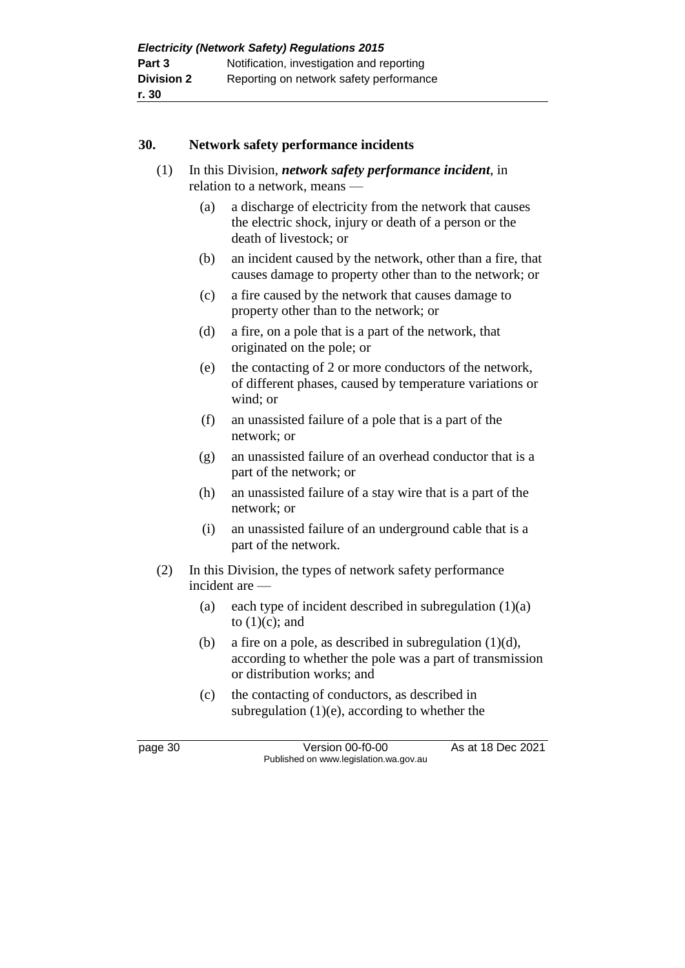### **30. Network safety performance incidents**

- (1) In this Division, *network safety performance incident*, in relation to a network, means —
	- (a) a discharge of electricity from the network that causes the electric shock, injury or death of a person or the death of livestock; or
	- (b) an incident caused by the network, other than a fire, that causes damage to property other than to the network; or
	- (c) a fire caused by the network that causes damage to property other than to the network; or
	- (d) a fire, on a pole that is a part of the network, that originated on the pole; or
	- (e) the contacting of 2 or more conductors of the network, of different phases, caused by temperature variations or wind; or
	- (f) an unassisted failure of a pole that is a part of the network; or
	- (g) an unassisted failure of an overhead conductor that is a part of the network; or
	- (h) an unassisted failure of a stay wire that is a part of the network; or
	- (i) an unassisted failure of an underground cable that is a part of the network.
- (2) In this Division, the types of network safety performance incident are —
	- (a) each type of incident described in subregulation  $(1)(a)$ to  $(1)(c)$ ; and
	- (b) a fire on a pole, as described in subregulation  $(1)(d)$ , according to whether the pole was a part of transmission or distribution works; and
	- (c) the contacting of conductors, as described in subregulation (1)(e), according to whether the

page 30 Version 00-f0-00 As at 18 Dec 2021 Published on www.legislation.wa.gov.au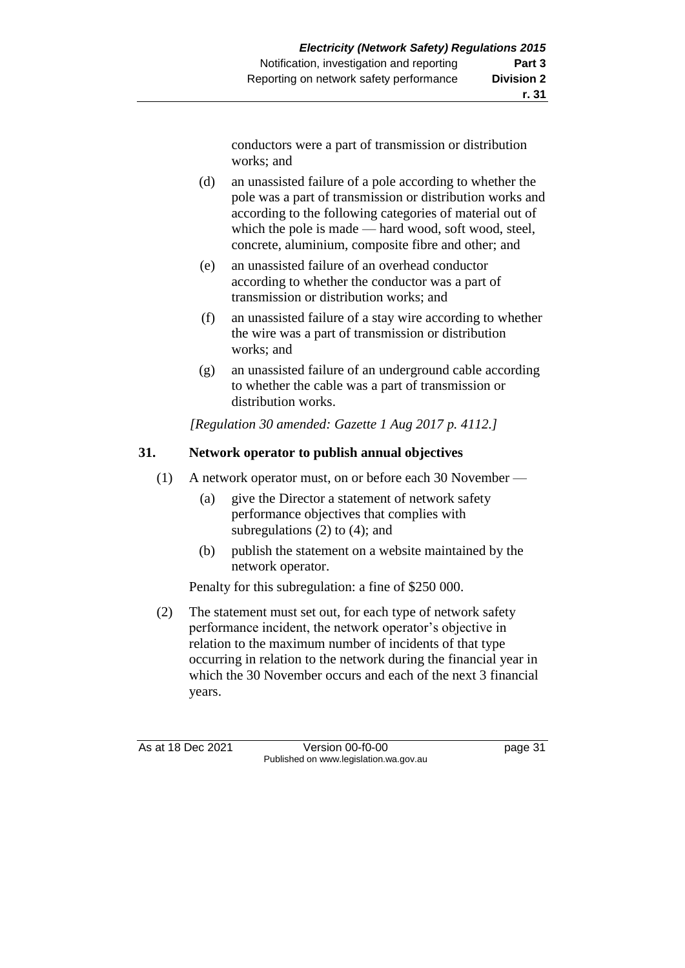conductors were a part of transmission or distribution works; and

- (d) an unassisted failure of a pole according to whether the pole was a part of transmission or distribution works and according to the following categories of material out of which the pole is made — hard wood, soft wood, steel, concrete, aluminium, composite fibre and other; and
- (e) an unassisted failure of an overhead conductor according to whether the conductor was a part of transmission or distribution works; and
- (f) an unassisted failure of a stay wire according to whether the wire was a part of transmission or distribution works; and
- (g) an unassisted failure of an underground cable according to whether the cable was a part of transmission or distribution works.

*[Regulation 30 amended: Gazette 1 Aug 2017 p. 4112.]*

#### **31. Network operator to publish annual objectives**

- (1) A network operator must, on or before each 30 November
	- (a) give the Director a statement of network safety performance objectives that complies with subregulations (2) to (4); and
	- (b) publish the statement on a website maintained by the network operator.

Penalty for this subregulation: a fine of \$250 000.

(2) The statement must set out, for each type of network safety performance incident, the network operator's objective in relation to the maximum number of incidents of that type occurring in relation to the network during the financial year in which the 30 November occurs and each of the next 3 financial years.

As at 18 Dec 2021 Version 00-f0-00 Page 31 Published on www.legislation.wa.gov.au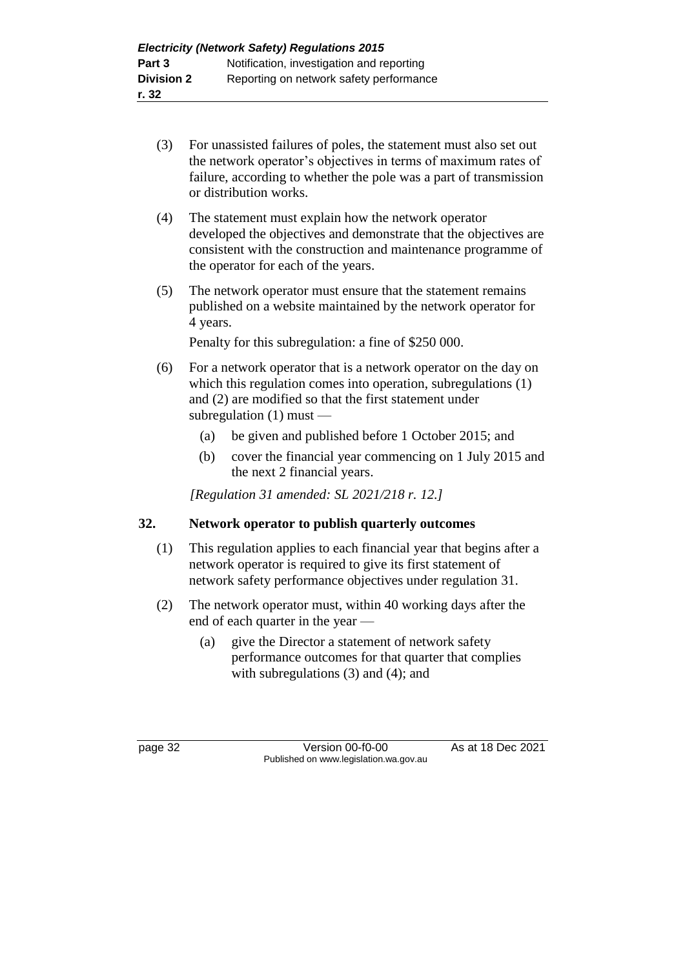- (3) For unassisted failures of poles, the statement must also set out the network operator's objectives in terms of maximum rates of failure, according to whether the pole was a part of transmission or distribution works.
- (4) The statement must explain how the network operator developed the objectives and demonstrate that the objectives are consistent with the construction and maintenance programme of the operator for each of the years.
- (5) The network operator must ensure that the statement remains published on a website maintained by the network operator for 4 years.

Penalty for this subregulation: a fine of \$250 000.

- (6) For a network operator that is a network operator on the day on which this regulation comes into operation, subregulations (1) and (2) are modified so that the first statement under subregulation (1) must —
	- (a) be given and published before 1 October 2015; and
	- (b) cover the financial year commencing on 1 July 2015 and the next 2 financial years.

*[Regulation 31 amended: SL 2021/218 r. 12.]*

## **32. Network operator to publish quarterly outcomes**

- (1) This regulation applies to each financial year that begins after a network operator is required to give its first statement of network safety performance objectives under regulation 31.
- (2) The network operator must, within 40 working days after the end of each quarter in the year —
	- (a) give the Director a statement of network safety performance outcomes for that quarter that complies with subregulations (3) and (4); and

page 32 Version 00-f0-00 As at 18 Dec 2021 Published on www.legislation.wa.gov.au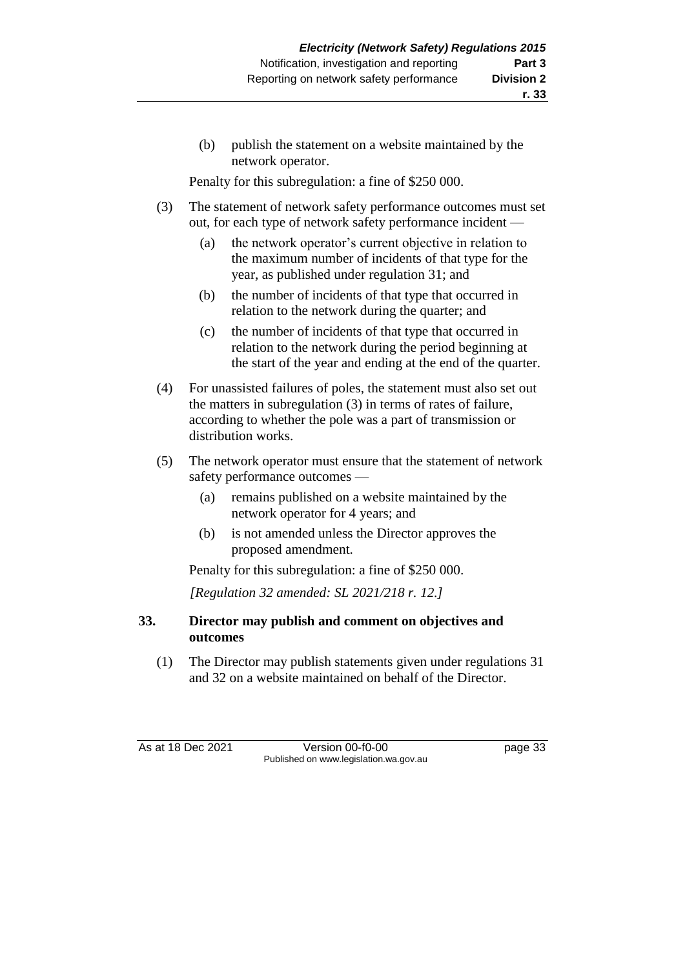(b) publish the statement on a website maintained by the network operator.

Penalty for this subregulation: a fine of \$250 000.

- (3) The statement of network safety performance outcomes must set out, for each type of network safety performance incident —
	- (a) the network operator's current objective in relation to the maximum number of incidents of that type for the year, as published under regulation 31; and
	- (b) the number of incidents of that type that occurred in relation to the network during the quarter; and
	- (c) the number of incidents of that type that occurred in relation to the network during the period beginning at the start of the year and ending at the end of the quarter.
- (4) For unassisted failures of poles, the statement must also set out the matters in subregulation (3) in terms of rates of failure, according to whether the pole was a part of transmission or distribution works.
- (5) The network operator must ensure that the statement of network safety performance outcomes —
	- (a) remains published on a website maintained by the network operator for 4 years; and
	- (b) is not amended unless the Director approves the proposed amendment.

Penalty for this subregulation: a fine of \$250 000.

*[Regulation 32 amended: SL 2021/218 r. 12.]*

## **33. Director may publish and comment on objectives and outcomes**

(1) The Director may publish statements given under regulations 31 and 32 on a website maintained on behalf of the Director.

As at 18 Dec 2021 Version 00-f0-00 page 33 Published on www.legislation.wa.gov.au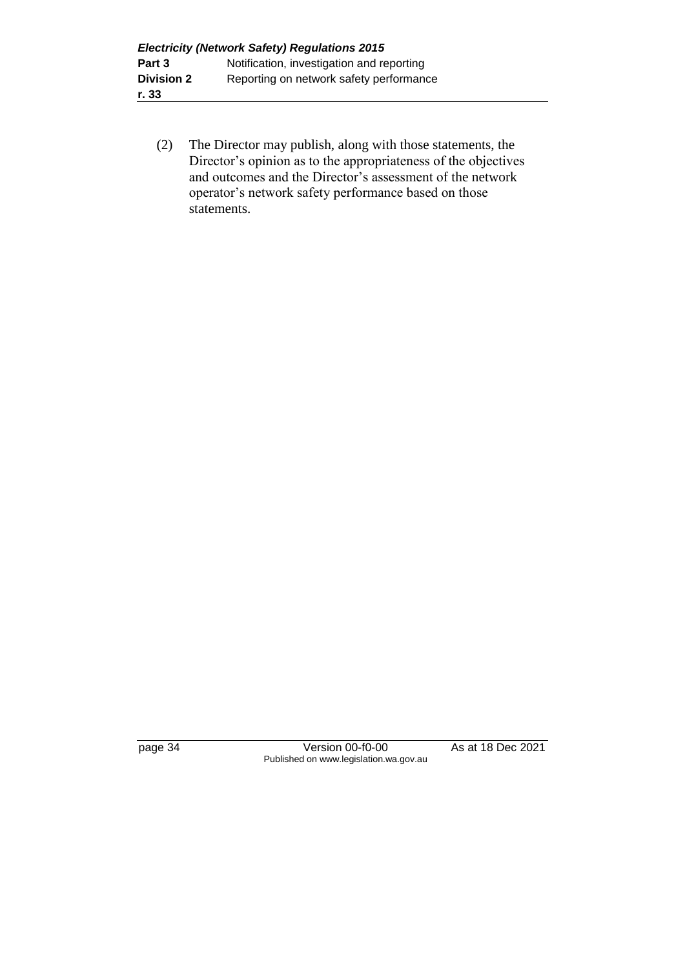(2) The Director may publish, along with those statements, the Director's opinion as to the appropriateness of the objectives and outcomes and the Director's assessment of the network operator's network safety performance based on those statements.

page 34 Version 00-f0-00 As at 18 Dec 2021 Published on www.legislation.wa.gov.au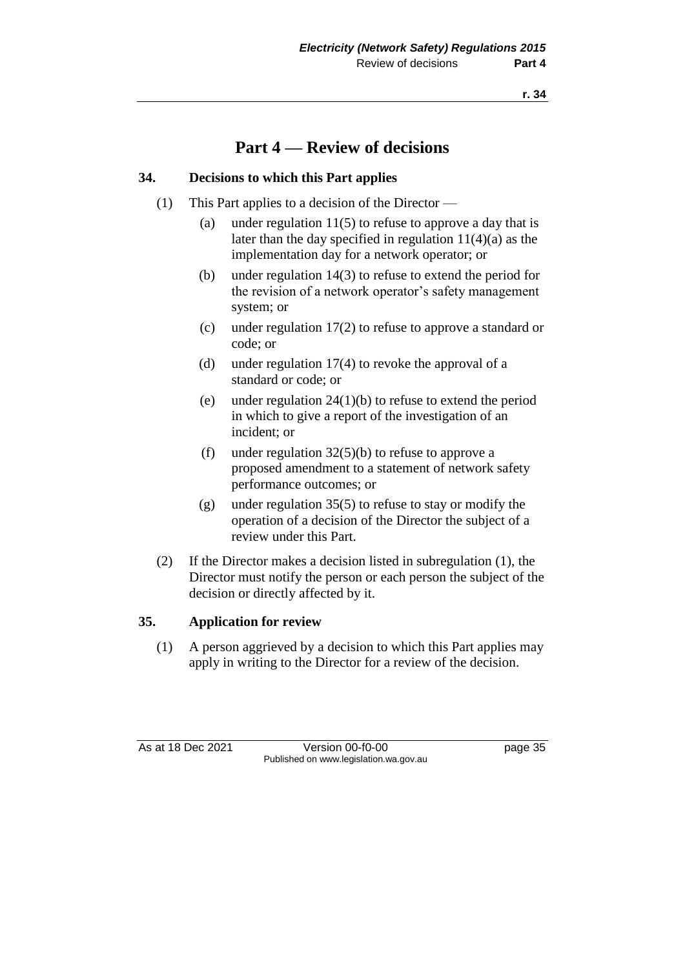## **Part 4 — Review of decisions**

## **34. Decisions to which this Part applies**

- (1) This Part applies to a decision of the Director
	- (a) under regulation  $11(5)$  to refuse to approve a day that is later than the day specified in regulation 11(4)(a) as the implementation day for a network operator; or
	- (b) under regulation 14(3) to refuse to extend the period for the revision of a network operator's safety management system; or
	- (c) under regulation 17(2) to refuse to approve a standard or code; or
	- (d) under regulation 17(4) to revoke the approval of a standard or code; or
	- (e) under regulation 24(1)(b) to refuse to extend the period in which to give a report of the investigation of an incident; or
	- (f) under regulation  $32(5)(b)$  to refuse to approve a proposed amendment to a statement of network safety performance outcomes; or
	- (g) under regulation 35(5) to refuse to stay or modify the operation of a decision of the Director the subject of a review under this Part.
- (2) If the Director makes a decision listed in subregulation (1), the Director must notify the person or each person the subject of the decision or directly affected by it.

## **35. Application for review**

(1) A person aggrieved by a decision to which this Part applies may apply in writing to the Director for a review of the decision.

As at 18 Dec 2021 Version 00-f0-00 Page 35 Published on www.legislation.wa.gov.au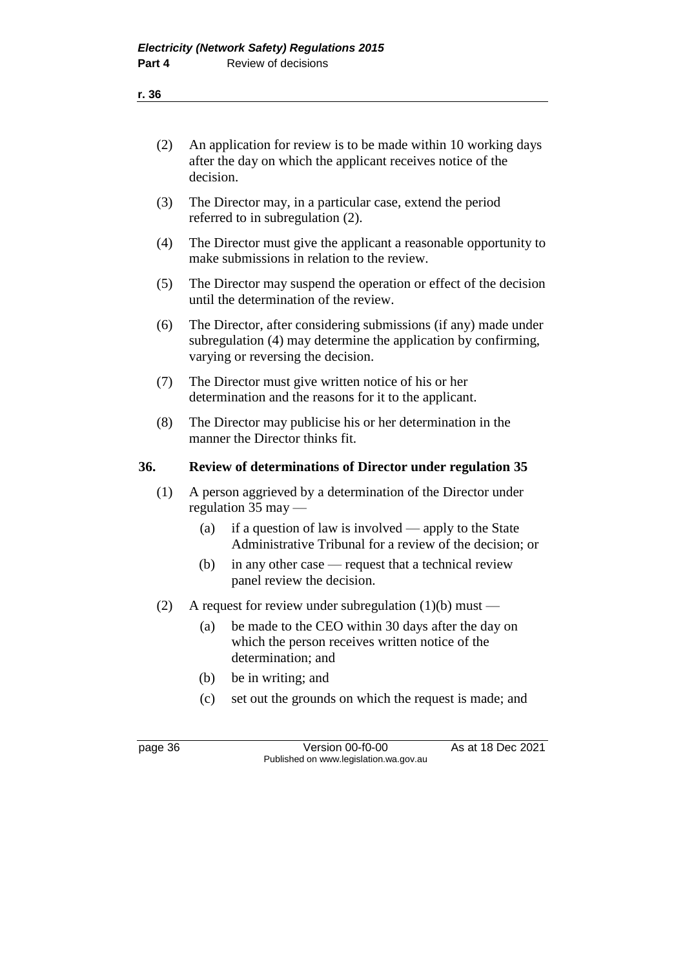| (2) | An application for review is to be made within 10 working days<br>after the day on which the applicant receives notice of the<br>decision. |
|-----|--------------------------------------------------------------------------------------------------------------------------------------------|
| (3) | The Director may, in a particular case, extend the period<br>referred to in subregulation (2).                                             |

- (4) The Director must give the applicant a reasonable opportunity to make submissions in relation to the review.
- (5) The Director may suspend the operation or effect of the decision until the determination of the review.
- (6) The Director, after considering submissions (if any) made under subregulation (4) may determine the application by confirming, varying or reversing the decision.
- (7) The Director must give written notice of his or her determination and the reasons for it to the applicant.
- (8) The Director may publicise his or her determination in the manner the Director thinks fit.

## **36. Review of determinations of Director under regulation 35**

- (1) A person aggrieved by a determination of the Director under regulation 35 may —
	- (a) if a question of law is involved apply to the State Administrative Tribunal for a review of the decision; or
	- (b) in any other case request that a technical review panel review the decision.
- (2) A request for review under subregulation (1)(b) must
	- (a) be made to the CEO within 30 days after the day on which the person receives written notice of the determination; and
	- (b) be in writing; and
	- (c) set out the grounds on which the request is made; and

page 36 Version 00-f0-00 As at 18 Dec 2021 Published on www.legislation.wa.gov.au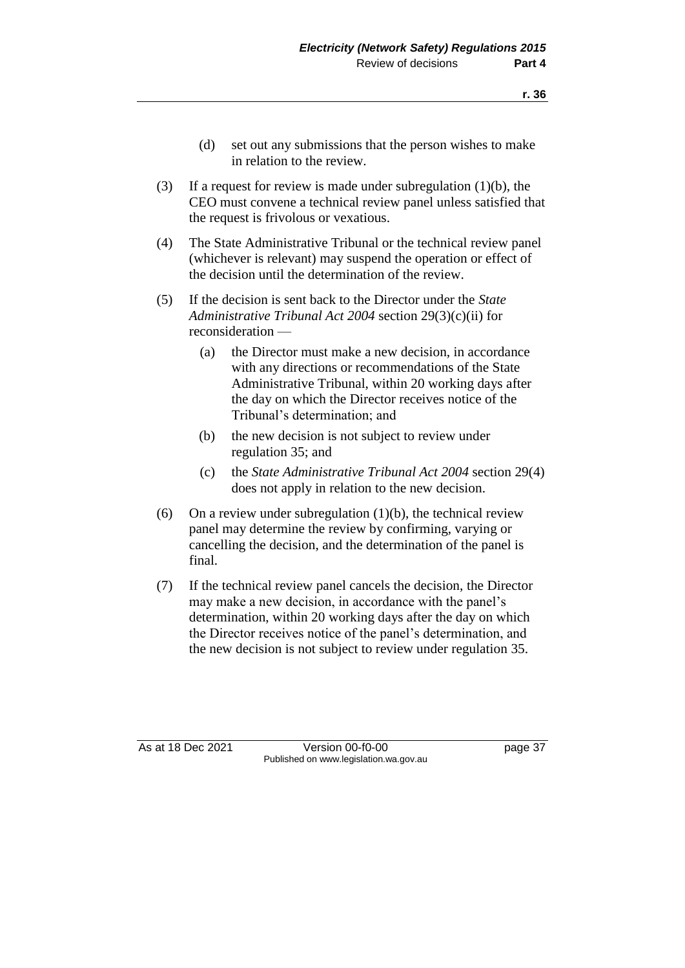- (d) set out any submissions that the person wishes to make in relation to the review.
- (3) If a request for review is made under subregulation (1)(b), the CEO must convene a technical review panel unless satisfied that the request is frivolous or vexatious.
- (4) The State Administrative Tribunal or the technical review panel (whichever is relevant) may suspend the operation or effect of the decision until the determination of the review.
- (5) If the decision is sent back to the Director under the *State Administrative Tribunal Act 2004* section 29(3)(c)(ii) for reconsideration —
	- (a) the Director must make a new decision, in accordance with any directions or recommendations of the State Administrative Tribunal, within 20 working days after the day on which the Director receives notice of the Tribunal's determination; and
	- (b) the new decision is not subject to review under regulation 35; and
	- (c) the *State Administrative Tribunal Act 2004* section 29(4) does not apply in relation to the new decision.
- (6) On a review under subregulation  $(1)(b)$ , the technical review panel may determine the review by confirming, varying or cancelling the decision, and the determination of the panel is final.
- (7) If the technical review panel cancels the decision, the Director may make a new decision, in accordance with the panel's determination, within 20 working days after the day on which the Director receives notice of the panel's determination, and the new decision is not subject to review under regulation 35.

As at 18 Dec 2021 Version 00-f0-00 Page 37 Published on www.legislation.wa.gov.au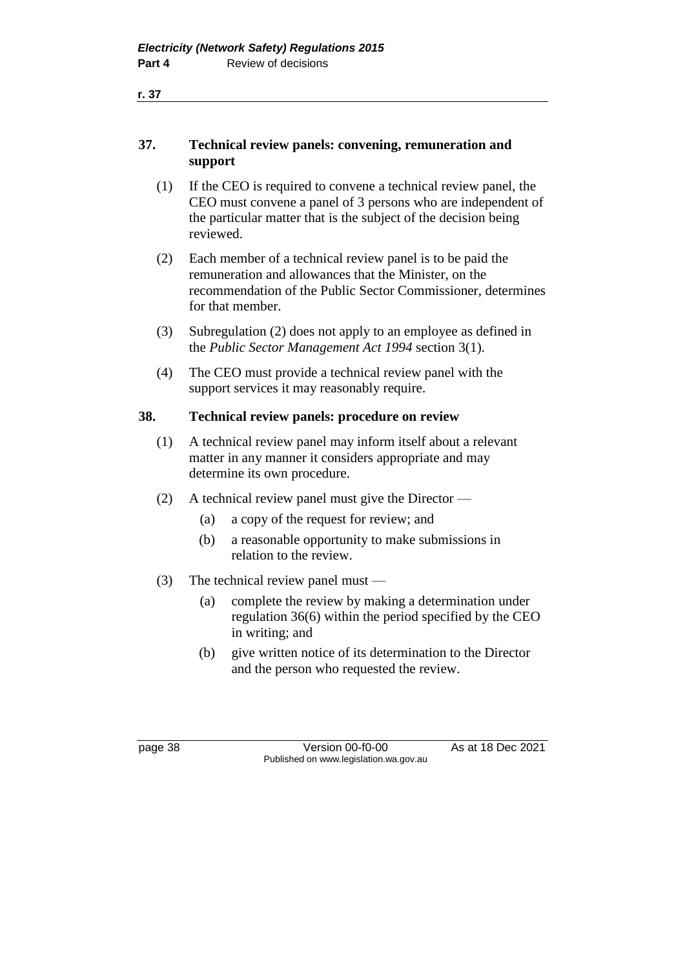- (1) If the CEO is required to convene a technical review panel, the CEO must convene a panel of 3 persons who are independent of the particular matter that is the subject of the decision being reviewed.
- (2) Each member of a technical review panel is to be paid the remuneration and allowances that the Minister, on the recommendation of the Public Sector Commissioner, determines for that member.
- (3) Subregulation (2) does not apply to an employee as defined in the *Public Sector Management Act 1994* section 3(1).
- (4) The CEO must provide a technical review panel with the support services it may reasonably require.

## **38. Technical review panels: procedure on review**

- (1) A technical review panel may inform itself about a relevant matter in any manner it considers appropriate and may determine its own procedure.
- (2) A technical review panel must give the Director
	- (a) a copy of the request for review; and
	- (b) a reasonable opportunity to make submissions in relation to the review.
- (3) The technical review panel must
	- (a) complete the review by making a determination under regulation 36(6) within the period specified by the CEO in writing; and
	- (b) give written notice of its determination to the Director and the person who requested the review.

page 38 Version 00-f0-00 As at 18 Dec 2021 Published on www.legislation.wa.gov.au

**r. 37**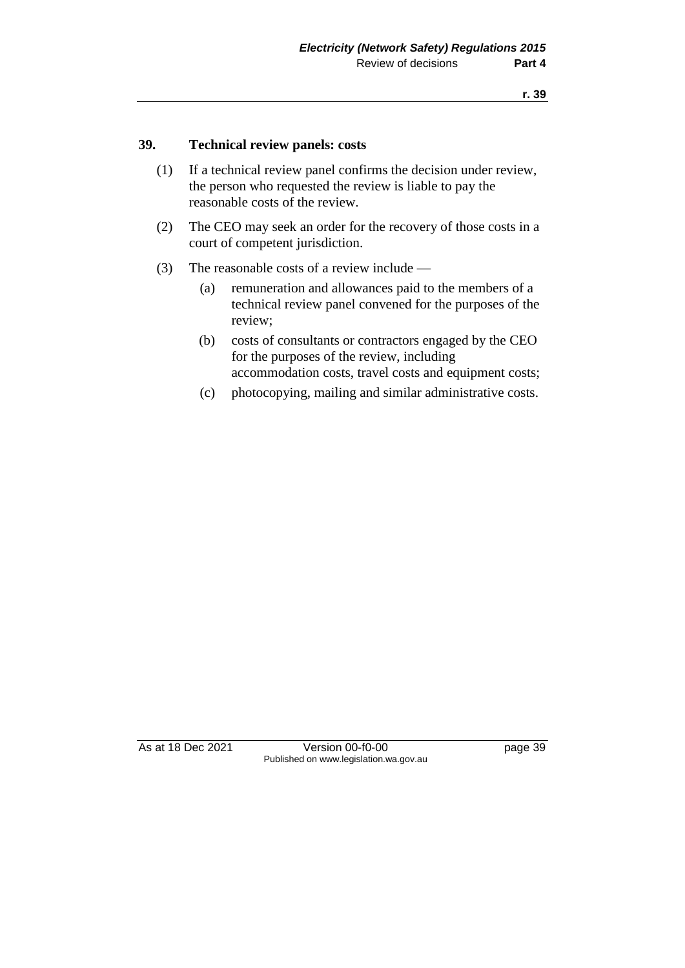#### **39. Technical review panels: costs**

- (1) If a technical review panel confirms the decision under review, the person who requested the review is liable to pay the reasonable costs of the review.
- (2) The CEO may seek an order for the recovery of those costs in a court of competent jurisdiction.
- (3) The reasonable costs of a review include
	- (a) remuneration and allowances paid to the members of a technical review panel convened for the purposes of the review;
	- (b) costs of consultants or contractors engaged by the CEO for the purposes of the review, including accommodation costs, travel costs and equipment costs;
	- (c) photocopying, mailing and similar administrative costs.

As at 18 Dec 2021 Version 00-f0-00 Page 39 Published on www.legislation.wa.gov.au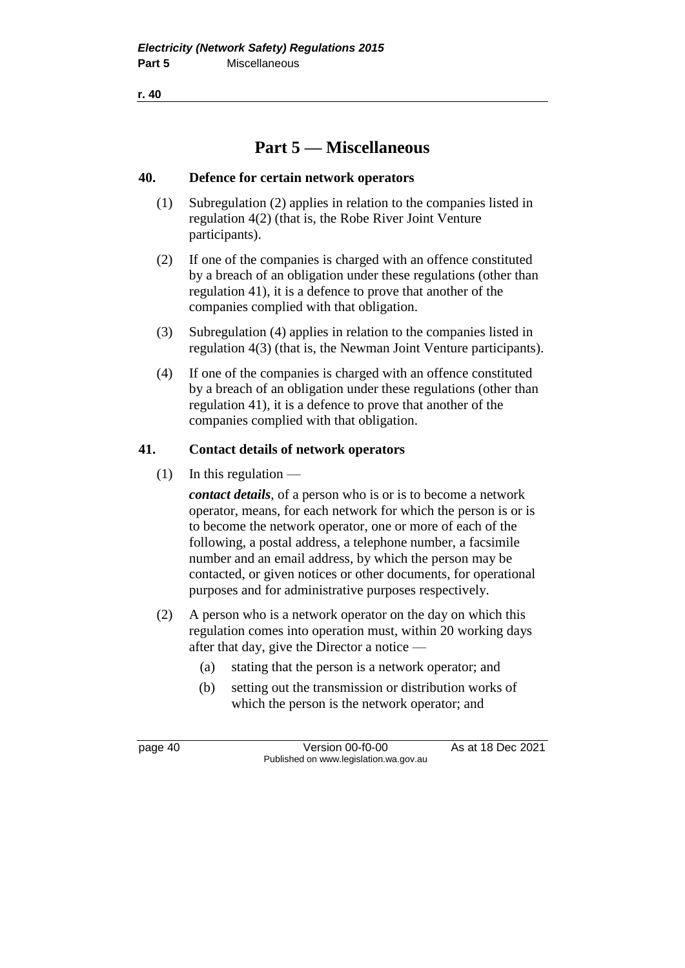**r. 40**

## **Part 5 — Miscellaneous**

## **40. Defence for certain network operators**

- (1) Subregulation (2) applies in relation to the companies listed in regulation 4(2) (that is, the Robe River Joint Venture participants).
- (2) If one of the companies is charged with an offence constituted by a breach of an obligation under these regulations (other than regulation 41), it is a defence to prove that another of the companies complied with that obligation.
- (3) Subregulation (4) applies in relation to the companies listed in regulation 4(3) (that is, the Newman Joint Venture participants).
- (4) If one of the companies is charged with an offence constituted by a breach of an obligation under these regulations (other than regulation 41), it is a defence to prove that another of the companies complied with that obligation.

## **41. Contact details of network operators**

 $(1)$  In this regulation —

*contact details*, of a person who is or is to become a network operator, means, for each network for which the person is or is to become the network operator, one or more of each of the following, a postal address, a telephone number, a facsimile number and an email address, by which the person may be contacted, or given notices or other documents, for operational purposes and for administrative purposes respectively.

- (2) A person who is a network operator on the day on which this regulation comes into operation must, within 20 working days after that day, give the Director a notice —
	- (a) stating that the person is a network operator; and
	- (b) setting out the transmission or distribution works of which the person is the network operator; and

page 40 Version 00-f0-00 As at 18 Dec 2021 Published on www.legislation.wa.gov.au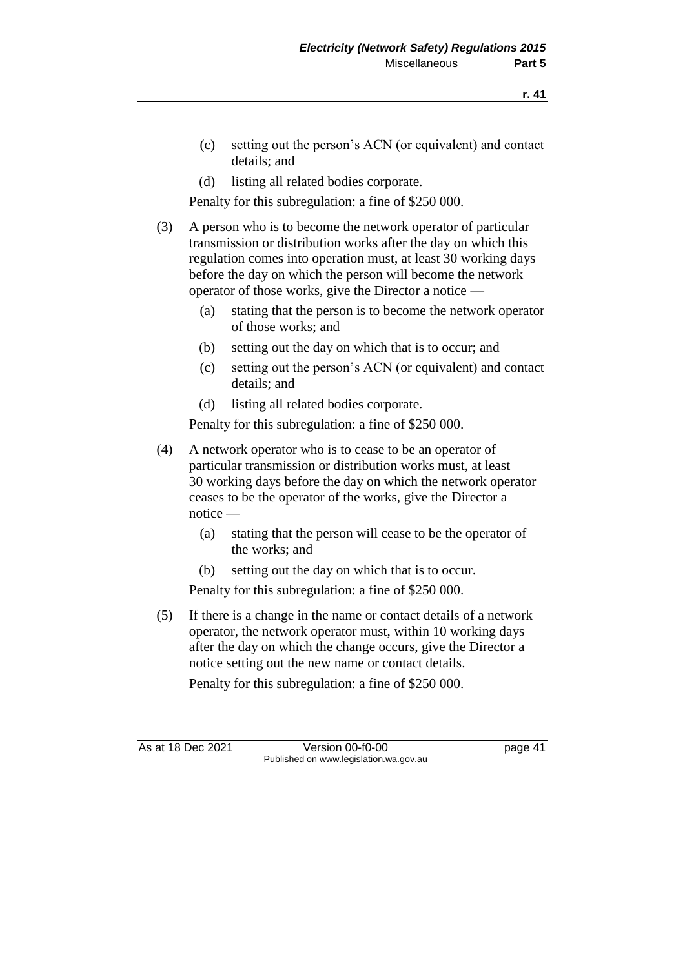- (c) setting out the person's ACN (or equivalent) and contact details; and
- (d) listing all related bodies corporate.

Penalty for this subregulation: a fine of \$250 000.

- (3) A person who is to become the network operator of particular transmission or distribution works after the day on which this regulation comes into operation must, at least 30 working days before the day on which the person will become the network operator of those works, give the Director a notice —
	- (a) stating that the person is to become the network operator of those works; and
	- (b) setting out the day on which that is to occur; and
	- (c) setting out the person's ACN (or equivalent) and contact details; and
	- (d) listing all related bodies corporate.

Penalty for this subregulation: a fine of \$250 000.

- (4) A network operator who is to cease to be an operator of particular transmission or distribution works must, at least 30 working days before the day on which the network operator ceases to be the operator of the works, give the Director a notice —
	- (a) stating that the person will cease to be the operator of the works; and
	- (b) setting out the day on which that is to occur.

Penalty for this subregulation: a fine of \$250 000.

(5) If there is a change in the name or contact details of a network operator, the network operator must, within 10 working days after the day on which the change occurs, give the Director a notice setting out the new name or contact details.

Penalty for this subregulation: a fine of \$250 000.

As at 18 Dec 2021 Version 00-f0-00 Page 41 Published on www.legislation.wa.gov.au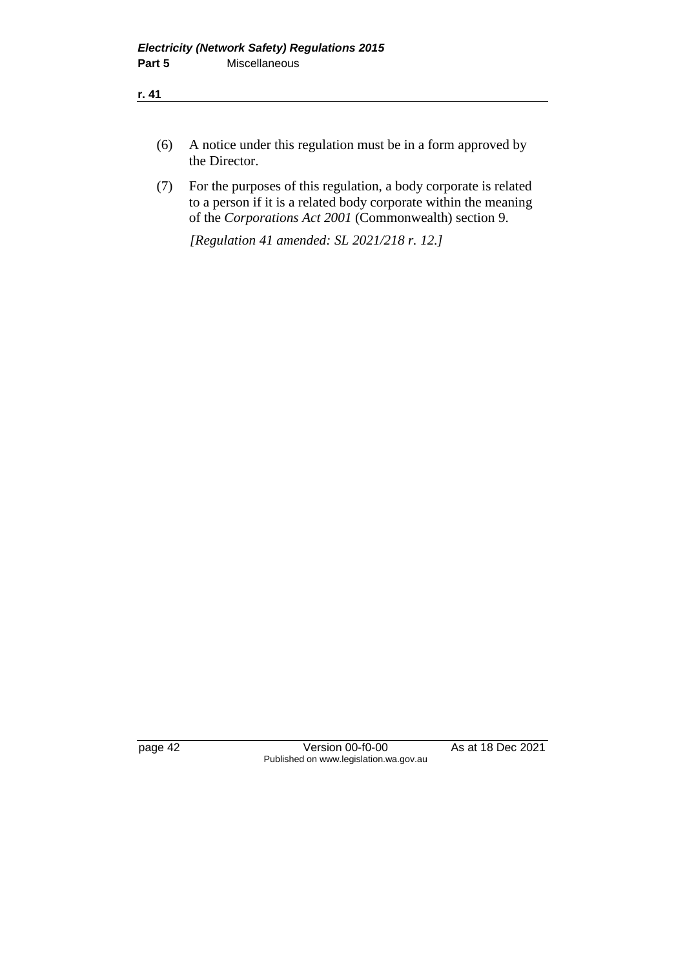- (6) A notice under this regulation must be in a form approved by the Director.
- (7) For the purposes of this regulation, a body corporate is related to a person if it is a related body corporate within the meaning of the *Corporations Act 2001* (Commonwealth) section 9.

*[Regulation 41 amended: SL 2021/218 r. 12.]*

page 42 Version 00-f0-00 As at 18 Dec 2021 Published on www.legislation.wa.gov.au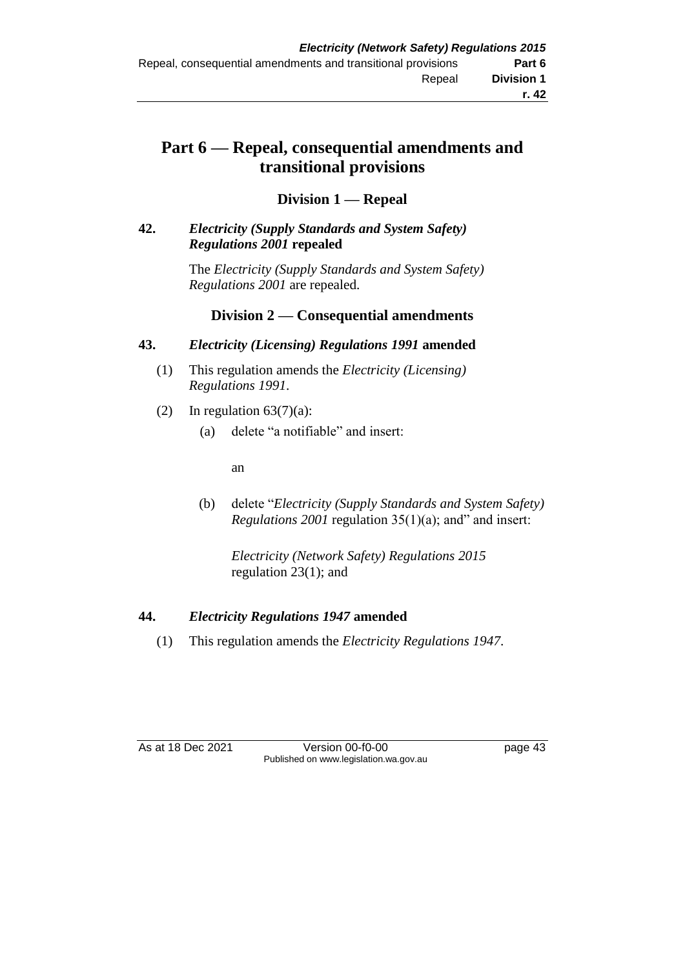## **Part 6 — Repeal, consequential amendments and transitional provisions**

## **Division 1 — Repeal**

## **42.** *Electricity (Supply Standards and System Safety) Regulations 2001* **repealed**

The *Electricity (Supply Standards and System Safety) Regulations 2001* are repealed.

## **Division 2 — Consequential amendments**

## **43.** *Electricity (Licensing) Regulations 1991* **amended**

- (1) This regulation amends the *Electricity (Licensing) Regulations 1991*.
- (2) In regulation  $63(7)(a)$ :
	- (a) delete "a notifiable" and insert:

an

(b) delete "*Electricity (Supply Standards and System Safety) Regulations 2001* regulation 35(1)(a); and" and insert:

*Electricity (Network Safety) Regulations 2015* regulation 23(1); and

## **44.** *Electricity Regulations 1947* **amended**

(1) This regulation amends the *Electricity Regulations 1947*.

As at 18 Dec 2021 Version 00-f0-00 page 43 Published on www.legislation.wa.gov.au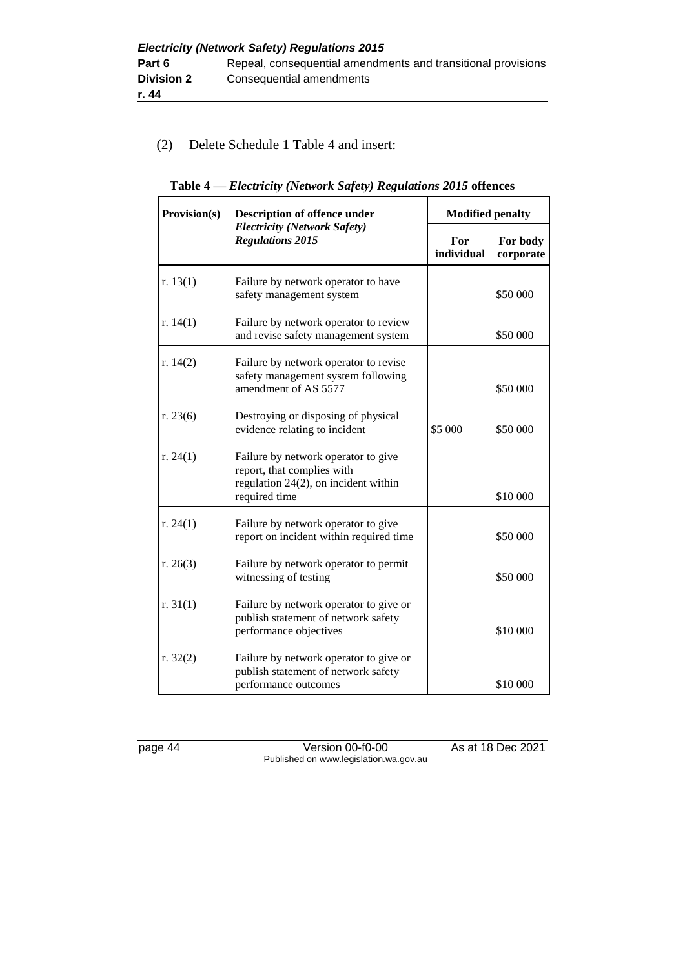## (2) Delete Schedule 1 Table 4 and insert:

| Provision(s) | <b>Description of offence under</b>                                                                                        |                   | <b>Modified penalty</b> |  |
|--------------|----------------------------------------------------------------------------------------------------------------------------|-------------------|-------------------------|--|
|              | <b>Electricity (Network Safety)</b><br><b>Regulations 2015</b>                                                             | For<br>individual | For body<br>corporate   |  |
| r. $13(1)$   | Failure by network operator to have<br>safety management system                                                            |                   | \$50 000                |  |
| r. $14(1)$   | Failure by network operator to review<br>and revise safety management system                                               |                   | \$50 000                |  |
| r. $14(2)$   | Failure by network operator to revise<br>safety management system following<br>amendment of AS 5577                        |                   | \$50 000                |  |
| r. $23(6)$   | Destroying or disposing of physical<br>evidence relating to incident                                                       | \$5 000           | \$50 000                |  |
| r. $24(1)$   | Failure by network operator to give<br>report, that complies with<br>regulation 24(2), on incident within<br>required time |                   | \$10 000                |  |
| r. $24(1)$   | Failure by network operator to give<br>report on incident within required time                                             |                   | \$50 000                |  |
| r. $26(3)$   | Failure by network operator to permit<br>witnessing of testing                                                             |                   | \$50 000                |  |
| r. $31(1)$   | Failure by network operator to give or<br>publish statement of network safety<br>performance objectives                    |                   | \$10 000                |  |
| r. $32(2)$   | Failure by network operator to give or<br>publish statement of network safety<br>performance outcomes                      |                   | \$10 000                |  |

|  |  |  |  | Table 4 – Electricity (Network Safety) Regulations 2015 offences |  |  |
|--|--|--|--|------------------------------------------------------------------|--|--|
|--|--|--|--|------------------------------------------------------------------|--|--|

page 44 Version 00-f0-00 As at 18 Dec 2021 Published on www.legislation.wa.gov.au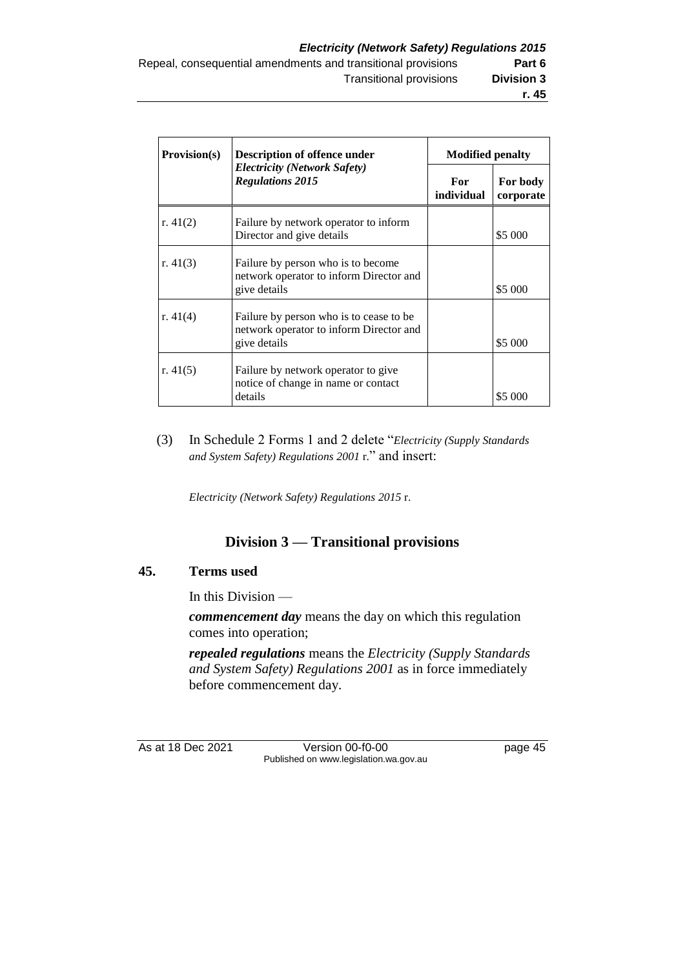| <b>Provision(s)</b>                                            | <b>Description of offence under</b>                                                                | <b>Modified penalty</b> |                       |  |
|----------------------------------------------------------------|----------------------------------------------------------------------------------------------------|-------------------------|-----------------------|--|
| <b>Electricity (Network Safety)</b><br><b>Regulations 2015</b> |                                                                                                    | For<br>individual       | For body<br>corporate |  |
| r. $41(2)$                                                     | Failure by network operator to inform<br>Director and give details                                 |                         | \$5 000               |  |
| r. $41(3)$                                                     | Failure by person who is to become<br>network operator to inform Director and<br>give details      |                         | \$5 000               |  |
| r. $41(4)$                                                     | Failure by person who is to cease to be<br>network operator to inform Director and<br>give details |                         | \$5 000               |  |
| r. $41(5)$                                                     | Failure by network operator to give<br>notice of change in name or contact<br>details              |                         | \$5 000               |  |

(3) In Schedule 2 Forms 1 and 2 delete "*Electricity (Supply Standards and System Safety) Regulations 2001* r." and insert:

*Electricity (Network Safety) Regulations 2015* r.

## **Division 3 — Transitional provisions**

## **45. Terms used**

In this Division —

*commencement day* means the day on which this regulation comes into operation;

*repealed regulations* means the *Electricity (Supply Standards and System Safety) Regulations 2001* as in force immediately before commencement day.

As at 18 Dec 2021 Version 00-f0-00 Published on www.legislation.wa.gov.au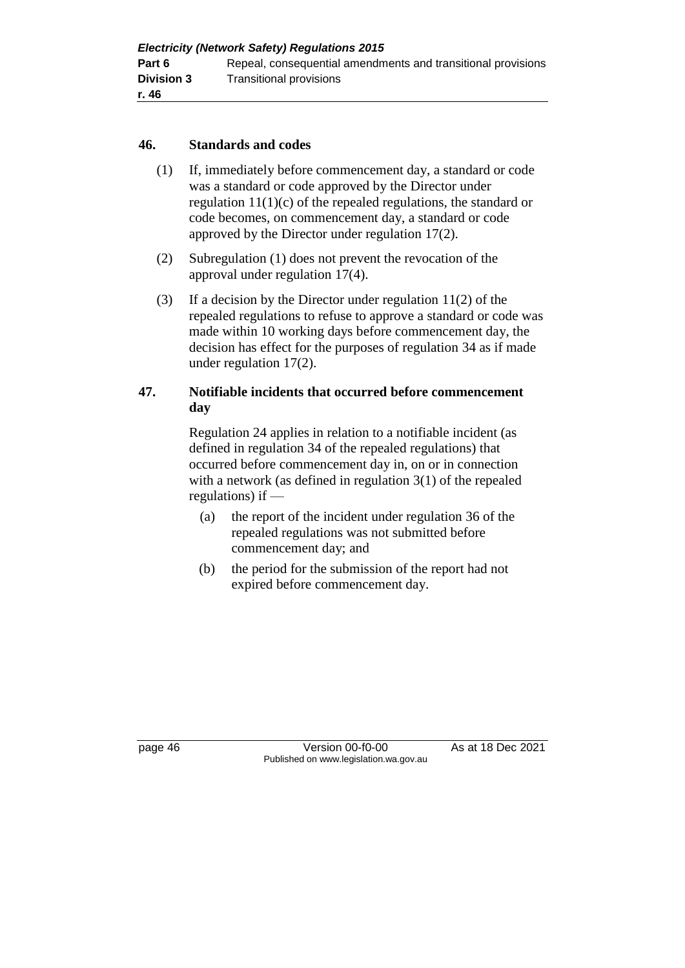### **46. Standards and codes**

- (1) If, immediately before commencement day, a standard or code was a standard or code approved by the Director under regulation 11(1)(c) of the repealed regulations, the standard or code becomes, on commencement day, a standard or code approved by the Director under regulation 17(2).
- (2) Subregulation (1) does not prevent the revocation of the approval under regulation 17(4).
- (3) If a decision by the Director under regulation 11(2) of the repealed regulations to refuse to approve a standard or code was made within 10 working days before commencement day, the decision has effect for the purposes of regulation 34 as if made under regulation 17(2).

## **47. Notifiable incidents that occurred before commencement day**

Regulation 24 applies in relation to a notifiable incident (as defined in regulation 34 of the repealed regulations) that occurred before commencement day in, on or in connection with a network (as defined in regulation 3(1) of the repealed regulations) if —

- (a) the report of the incident under regulation 36 of the repealed regulations was not submitted before commencement day; and
- (b) the period for the submission of the report had not expired before commencement day.

page 46 Version 00-f0-00 As at 18 Dec 2021 Published on www.legislation.wa.gov.au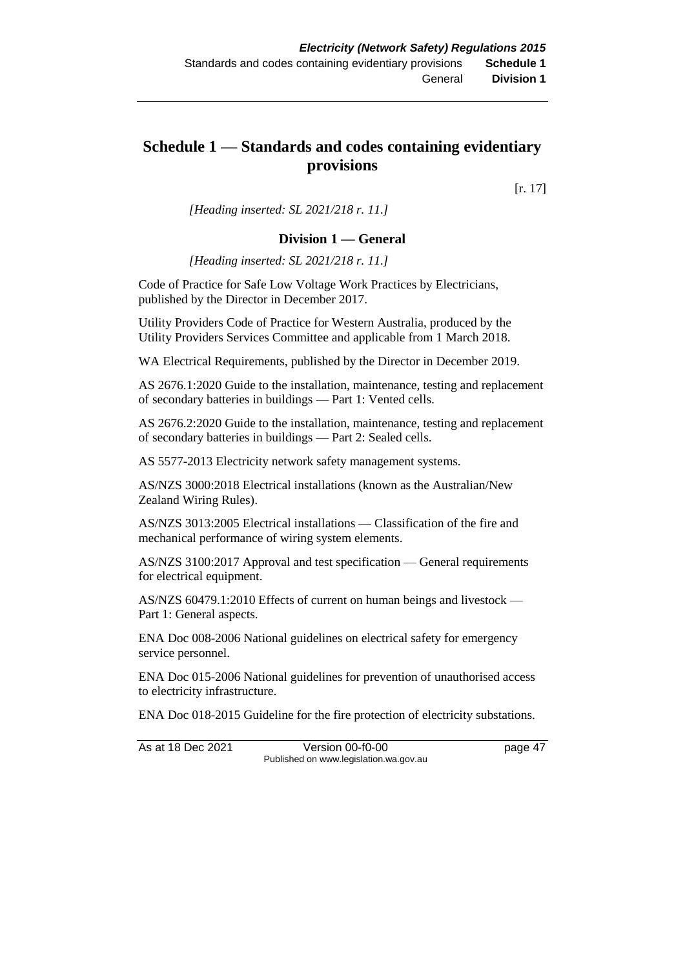## **Schedule 1 — Standards and codes containing evidentiary provisions**

[r. 17]

*[Heading inserted: SL 2021/218 r. 11.]*

#### **Division 1 — General**

*[Heading inserted: SL 2021/218 r. 11.]*

Code of Practice for Safe Low Voltage Work Practices by Electricians, published by the Director in December 2017.

Utility Providers Code of Practice for Western Australia, produced by the Utility Providers Services Committee and applicable from 1 March 2018.

WA Electrical Requirements, published by the Director in December 2019.

AS 2676.1:2020 Guide to the installation, maintenance, testing and replacement of secondary batteries in buildings — Part 1: Vented cells.

AS 2676.2:2020 Guide to the installation, maintenance, testing and replacement of secondary batteries in buildings — Part 2: Sealed cells.

AS 5577-2013 Electricity network safety management systems.

AS/NZS 3000:2018 Electrical installations (known as the Australian/New Zealand Wiring Rules).

AS/NZS 3013:2005 Electrical installations — Classification of the fire and mechanical performance of wiring system elements.

AS/NZS 3100:2017 Approval and test specification — General requirements for electrical equipment.

AS/NZS 60479.1:2010 Effects of current on human beings and livestock — Part 1: General aspects.

ENA Doc 008-2006 National guidelines on electrical safety for emergency service personnel.

ENA Doc 015-2006 National guidelines for prevention of unauthorised access to electricity infrastructure.

ENA Doc 018-2015 Guideline for the fire protection of electricity substations.

As at 18 Dec 2021 Version 00-f0-00 page 47 Published on www.legislation.wa.gov.au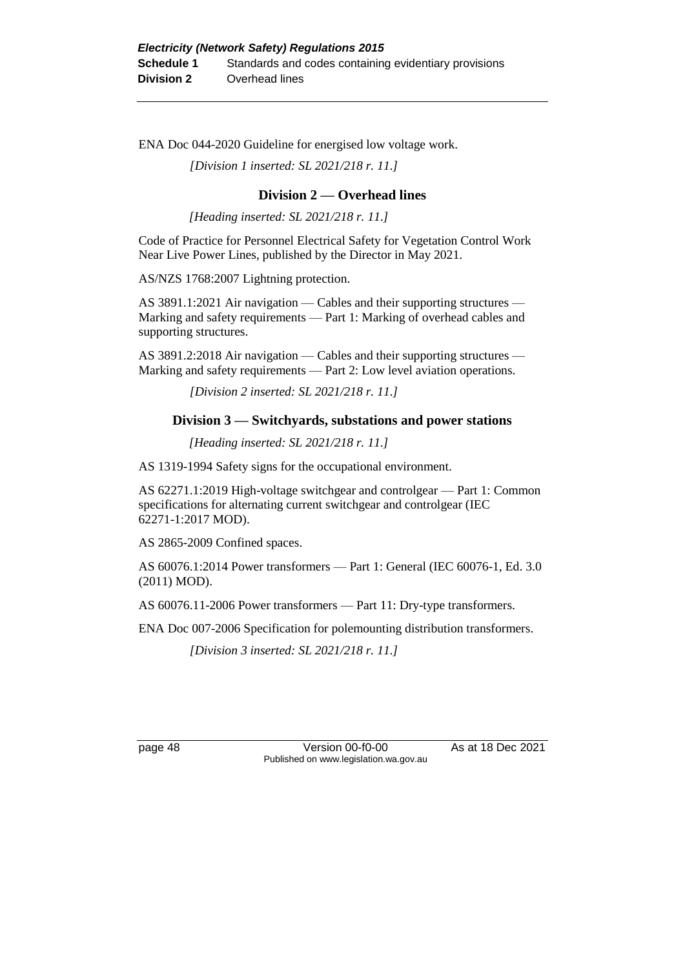ENA Doc 044-2020 Guideline for energised low voltage work.

*[Division 1 inserted: SL 2021/218 r. 11.]*

#### **Division 2 — Overhead lines**

*[Heading inserted: SL 2021/218 r. 11.]*

Code of Practice for Personnel Electrical Safety for Vegetation Control Work Near Live Power Lines, published by the Director in May 2021.

AS/NZS 1768:2007 Lightning protection.

AS 3891.1:2021 Air navigation — Cables and their supporting structures — Marking and safety requirements — Part 1: Marking of overhead cables and supporting structures.

AS 3891.2:2018 Air navigation — Cables and their supporting structures — Marking and safety requirements — Part 2: Low level aviation operations.

*[Division 2 inserted: SL 2021/218 r. 11.]*

#### **Division 3 — Switchyards, substations and power stations**

*[Heading inserted: SL 2021/218 r. 11.]*

AS 1319-1994 Safety signs for the occupational environment.

AS 62271.1:2019 High-voltage switchgear and controlgear — Part 1: Common specifications for alternating current switchgear and controlgear (IEC 62271-1:2017 MOD).

AS 2865-2009 Confined spaces.

AS 60076.1:2014 Power transformers — Part 1: General (IEC 60076-1, Ed. 3.0 (2011) MOD).

AS 60076.11-2006 Power transformers — Part 11: Dry-type transformers.

ENA Doc 007-2006 Specification for polemounting distribution transformers.

*[Division 3 inserted: SL 2021/218 r. 11.]*

page 48 Version 00-f0-00 As at 18 Dec 2021 Published on www.legislation.wa.gov.au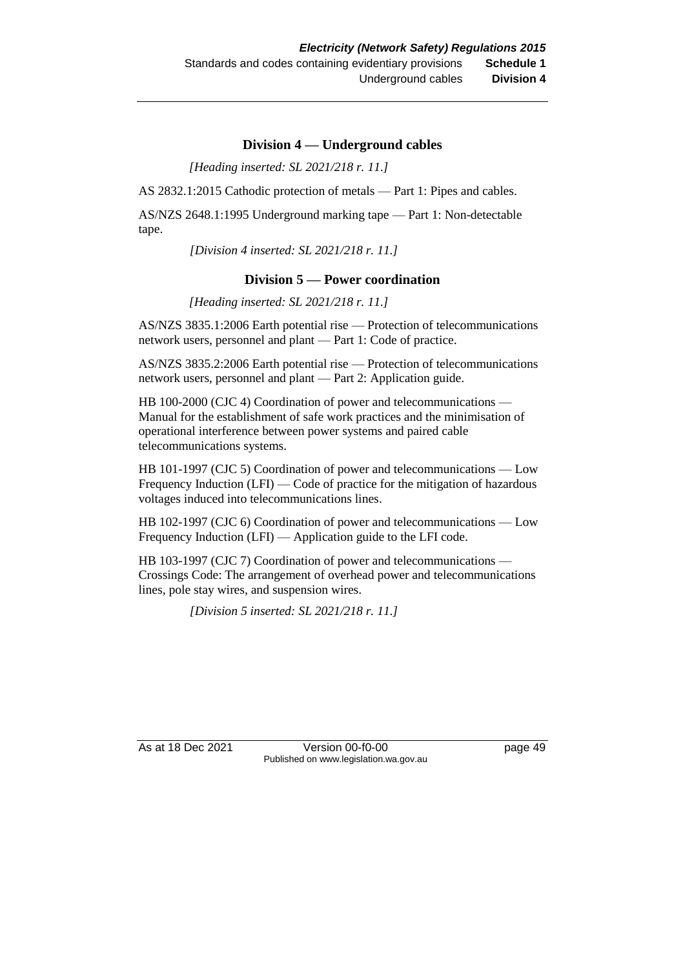#### **Division 4 — Underground cables**

*[Heading inserted: SL 2021/218 r. 11.]*

AS 2832.1:2015 Cathodic protection of metals — Part 1: Pipes and cables.

AS/NZS 2648.1:1995 Underground marking tape — Part 1: Non-detectable tape.

*[Division 4 inserted: SL 2021/218 r. 11.]*

#### **Division 5 — Power coordination**

*[Heading inserted: SL 2021/218 r. 11.]*

AS/NZS 3835.1:2006 Earth potential rise — Protection of telecommunications network users, personnel and plant — Part 1: Code of practice.

AS/NZS 3835.2:2006 Earth potential rise — Protection of telecommunications network users, personnel and plant — Part 2: Application guide.

HB 100-2000 (CJC 4) Coordination of power and telecommunications — Manual for the establishment of safe work practices and the minimisation of operational interference between power systems and paired cable telecommunications systems.

HB 101-1997 (CJC 5) Coordination of power and telecommunications — Low Frequency Induction (LFI) — Code of practice for the mitigation of hazardous voltages induced into telecommunications lines.

HB 102-1997 (CJC 6) Coordination of power and telecommunications — Low Frequency Induction (LFI) — Application guide to the LFI code.

HB 103-1997 (CJC 7) Coordination of power and telecommunications — Crossings Code: The arrangement of overhead power and telecommunications lines, pole stay wires, and suspension wires.

*[Division 5 inserted: SL 2021/218 r. 11.]*

As at 18 Dec 2021 Version 00-f0-00 Page 49 Published on www.legislation.wa.gov.au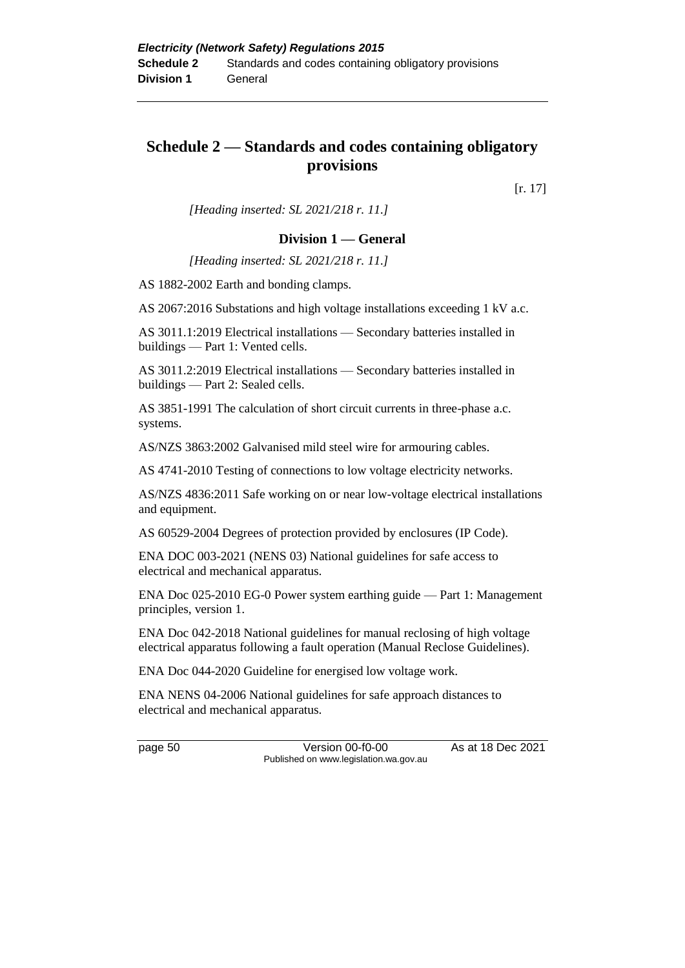## **Schedule 2 — Standards and codes containing obligatory provisions**

[r. 17]

*[Heading inserted: SL 2021/218 r. 11.]*

#### **Division 1 — General**

*[Heading inserted: SL 2021/218 r. 11.]*

AS 1882-2002 Earth and bonding clamps.

AS 2067:2016 Substations and high voltage installations exceeding 1 kV a.c.

AS 3011.1:2019 Electrical installations — Secondary batteries installed in buildings — Part 1: Vented cells.

AS 3011.2:2019 Electrical installations — Secondary batteries installed in buildings — Part 2: Sealed cells.

AS 3851-1991 The calculation of short circuit currents in three-phase a.c. systems.

AS/NZS 3863:2002 Galvanised mild steel wire for armouring cables.

AS 4741-2010 Testing of connections to low voltage electricity networks.

AS/NZS 4836:2011 Safe working on or near low-voltage electrical installations and equipment.

AS 60529-2004 Degrees of protection provided by enclosures (IP Code).

ENA DOC 003-2021 (NENS 03) National guidelines for safe access to electrical and mechanical apparatus.

ENA Doc 025-2010 EG-0 Power system earthing guide — Part 1: Management principles, version 1.

ENA Doc 042-2018 National guidelines for manual reclosing of high voltage electrical apparatus following a fault operation (Manual Reclose Guidelines).

ENA Doc 044-2020 Guideline for energised low voltage work.

ENA NENS 04-2006 National guidelines for safe approach distances to electrical and mechanical apparatus.

page 50 **Version 00-f0-00** As at 18 Dec 2021 Published on www.legislation.wa.gov.au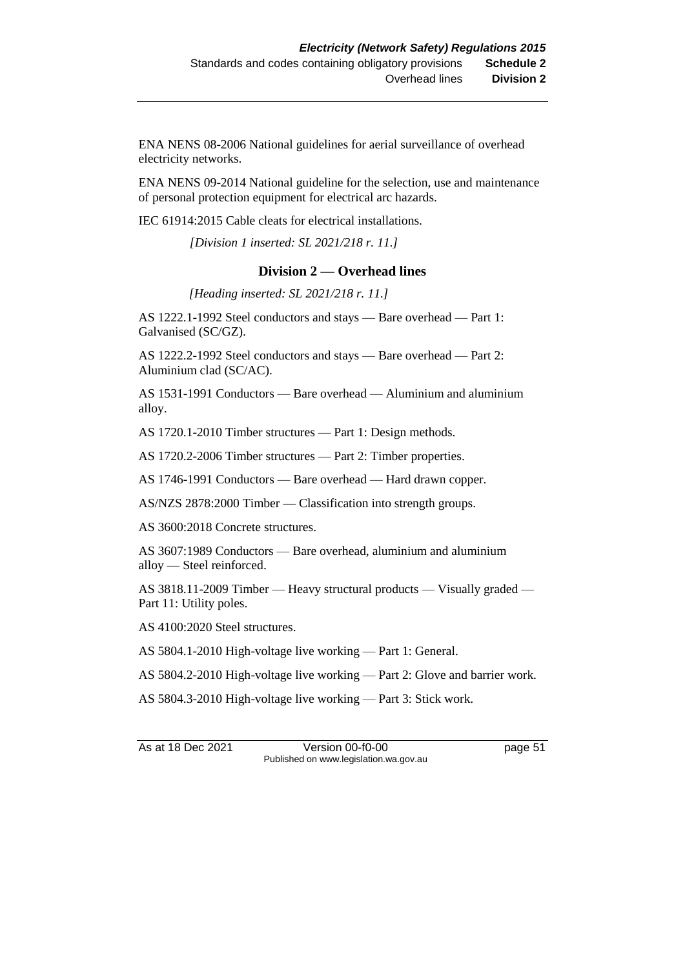ENA NENS 08-2006 National guidelines for aerial surveillance of overhead electricity networks.

ENA NENS 09-2014 National guideline for the selection, use and maintenance of personal protection equipment for electrical arc hazards.

IEC 61914:2015 Cable cleats for electrical installations.

*[Division 1 inserted: SL 2021/218 r. 11.]*

#### **Division 2 — Overhead lines**

*[Heading inserted: SL 2021/218 r. 11.]*

AS 1222.1-1992 Steel conductors and stays — Bare overhead — Part 1: Galvanised (SC/GZ).

AS 1222.2-1992 Steel conductors and stays — Bare overhead — Part 2: Aluminium clad (SC/AC).

AS 1531-1991 Conductors — Bare overhead — Aluminium and aluminium alloy.

AS 1720.1-2010 Timber structures — Part 1: Design methods.

AS 1720.2-2006 Timber structures — Part 2: Timber properties.

AS 1746-1991 Conductors — Bare overhead — Hard drawn copper.

AS/NZS 2878:2000 Timber — Classification into strength groups.

AS 3600:2018 Concrete structures.

AS 3607:1989 Conductors — Bare overhead, aluminium and aluminium alloy — Steel reinforced.

AS 3818.11-2009 Timber — Heavy structural products — Visually graded — Part 11: Utility poles.

AS 4100:2020 Steel structures.

AS 5804.1-2010 High-voltage live working — Part 1: General.

AS 5804.2-2010 High-voltage live working — Part 2: Glove and barrier work.

AS 5804.3-2010 High-voltage live working — Part 3: Stick work.

As at 18 Dec 2021 Version 00-f0-00 page 51 Published on www.legislation.wa.gov.au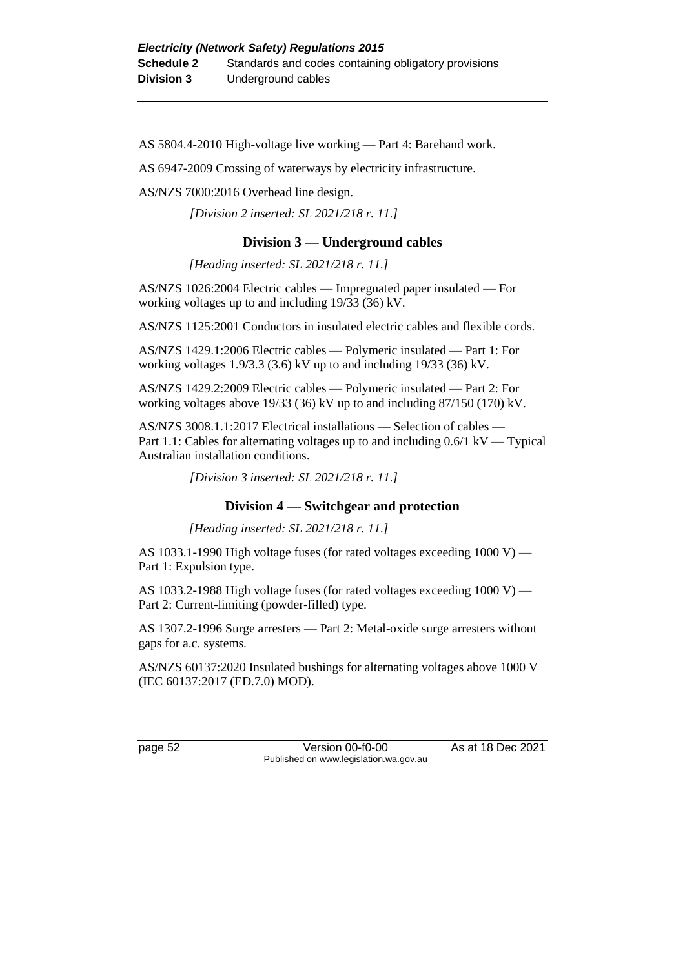AS 5804.4-2010 High-voltage live working — Part 4: Barehand work.

AS 6947-2009 Crossing of waterways by electricity infrastructure.

AS/NZS 7000:2016 Overhead line design.

*[Division 2 inserted: SL 2021/218 r. 11.]*

#### **Division 3 — Underground cables**

*[Heading inserted: SL 2021/218 r. 11.]*

AS/NZS 1026:2004 Electric cables — Impregnated paper insulated — For working voltages up to and including 19/33 (36) kV.

AS/NZS 1125:2001 Conductors in insulated electric cables and flexible cords.

AS/NZS 1429.1:2006 Electric cables — Polymeric insulated — Part 1: For working voltages 1.9/3.3 (3.6) kV up to and including 19/33 (36) kV.

AS/NZS 1429.2:2009 Electric cables — Polymeric insulated — Part 2: For working voltages above 19/33 (36) kV up to and including 87/150 (170) kV.

AS/NZS 3008.1.1:2017 Electrical installations — Selection of cables — Part 1.1: Cables for alternating voltages up to and including 0.6/1 kV — Typical Australian installation conditions.

*[Division 3 inserted: SL 2021/218 r. 11.]*

#### **Division 4 — Switchgear and protection**

*[Heading inserted: SL 2021/218 r. 11.]*

AS 1033.1-1990 High voltage fuses (for rated voltages exceeding 1000 V) — Part 1: Expulsion type.

AS 1033.2-1988 High voltage fuses (for rated voltages exceeding 1000 V) — Part 2: Current-limiting (powder-filled) type.

AS 1307.2-1996 Surge arresters — Part 2: Metal-oxide surge arresters without gaps for a.c. systems.

AS/NZS 60137:2020 Insulated bushings for alternating voltages above 1000 V (IEC 60137:2017 (ED.7.0) MOD).

page 52 Version 00-f0-00 As at 18 Dec 2021 Published on www.legislation.wa.gov.au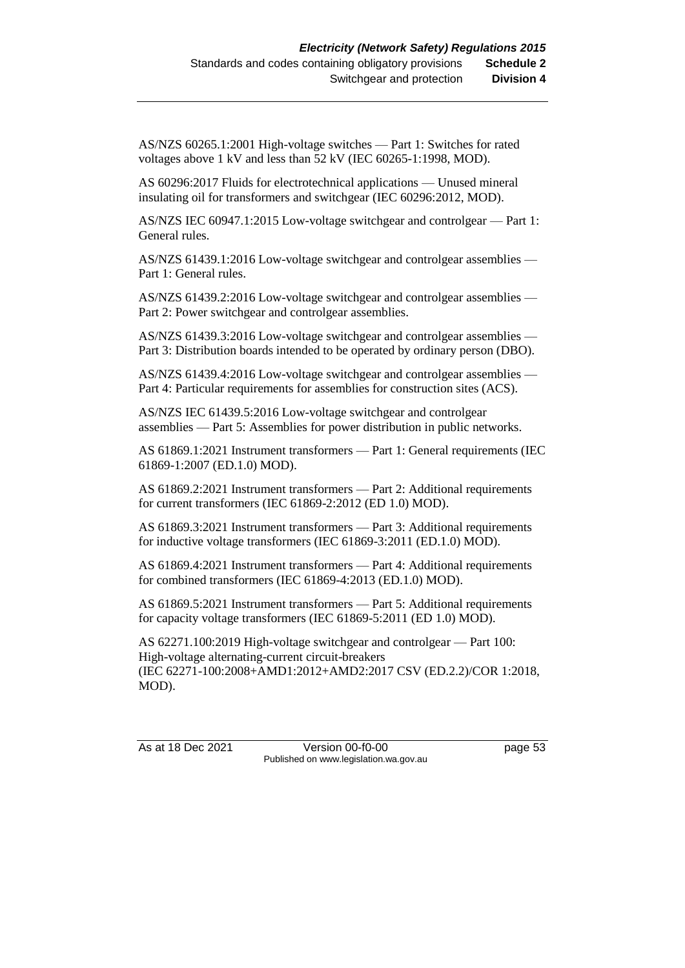AS/NZS 60265.1:2001 High-voltage switches — Part 1: Switches for rated voltages above 1 kV and less than 52 kV (IEC 60265-1:1998, MOD).

AS 60296:2017 Fluids for electrotechnical applications — Unused mineral insulating oil for transformers and switchgear (IEC 60296:2012, MOD).

AS/NZS IEC 60947.1:2015 Low-voltage switchgear and controlgear — Part 1: General rules.

AS/NZS 61439.1:2016 Low-voltage switchgear and controlgear assemblies — Part 1: General rules.

AS/NZS 61439.2:2016 Low-voltage switchgear and controlgear assemblies — Part 2: Power switchgear and controlgear assemblies.

AS/NZS 61439.3:2016 Low-voltage switchgear and controlgear assemblies — Part 3: Distribution boards intended to be operated by ordinary person (DBO).

AS/NZS 61439.4:2016 Low-voltage switchgear and controlgear assemblies — Part 4: Particular requirements for assemblies for construction sites (ACS).

AS/NZS IEC 61439.5:2016 Low-voltage switchgear and controlgear assemblies — Part 5: Assemblies for power distribution in public networks.

AS 61869.1:2021 Instrument transformers — Part 1: General requirements (IEC 61869-1:2007 (ED.1.0) MOD).

AS 61869.2:2021 Instrument transformers — Part 2: Additional requirements for current transformers (IEC 61869-2:2012 (ED 1.0) MOD).

AS 61869.3:2021 Instrument transformers — Part 3: Additional requirements for inductive voltage transformers (IEC 61869-3:2011 (ED.1.0) MOD).

AS 61869.4:2021 Instrument transformers — Part 4: Additional requirements for combined transformers (IEC 61869-4:2013 (ED.1.0) MOD).

AS 61869.5:2021 Instrument transformers — Part 5: Additional requirements for capacity voltage transformers (IEC 61869-5:2011 (ED 1.0) MOD).

AS 62271.100:2019 High-voltage switchgear and controlgear — Part 100: High-voltage alternating-current circuit-breakers (IEC 62271-100:2008+AMD1:2012+AMD2:2017 CSV (ED.2.2)/COR 1:2018, MOD).

As at 18 Dec 2021 Version 00-f0-00 Page 53 Published on www.legislation.wa.gov.au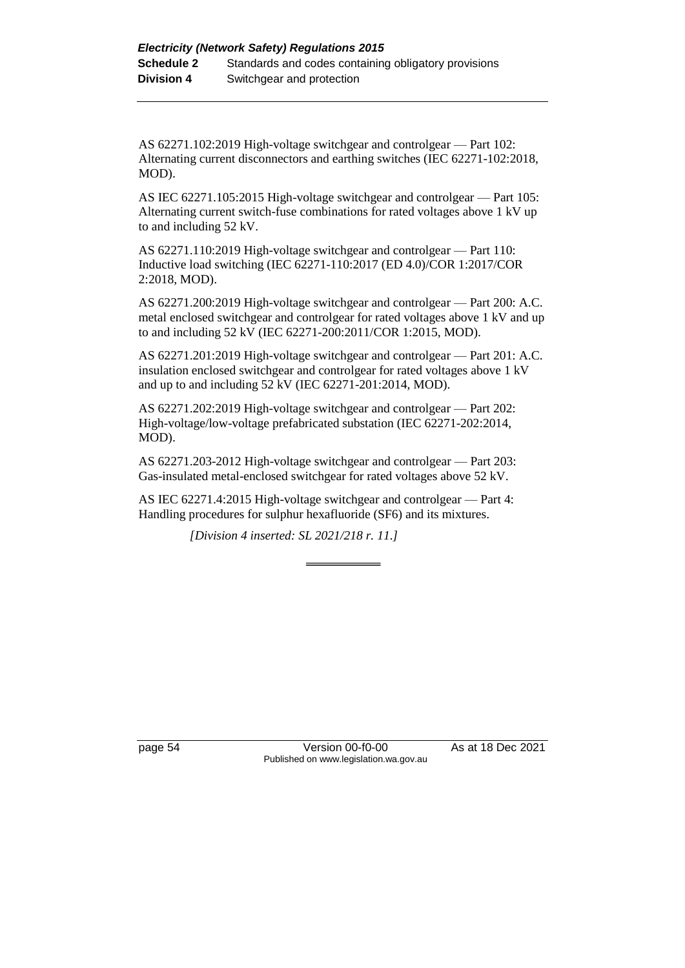AS 62271.102:2019 High-voltage switchgear and controlgear — Part 102: Alternating current disconnectors and earthing switches (IEC 62271-102:2018, MOD).

AS IEC 62271.105:2015 High-voltage switchgear and controlgear — Part 105: Alternating current switch-fuse combinations for rated voltages above 1 kV up to and including 52 kV.

AS 62271.110:2019 High-voltage switchgear and controlgear — Part 110: Inductive load switching (IEC 62271-110:2017 (ED 4.0)/COR 1:2017/COR 2:2018, MOD).

AS 62271.200:2019 High-voltage switchgear and controlgear — Part 200: A.C. metal enclosed switchgear and controlgear for rated voltages above 1 kV and up to and including 52 kV (IEC 62271-200:2011/COR 1:2015, MOD).

AS 62271.201:2019 High-voltage switchgear and controlgear — Part 201: A.C. insulation enclosed switchgear and controlgear for rated voltages above 1 kV and up to and including 52 kV (IEC 62271-201:2014, MOD).

AS 62271.202:2019 High-voltage switchgear and controlgear — Part 202: High-voltage/low-voltage prefabricated substation (IEC 62271-202:2014, MOD).

AS 62271.203-2012 High-voltage switchgear and controlgear — Part 203: Gas-insulated metal-enclosed switchgear for rated voltages above 52 kV.

AS IEC 62271.4:2015 High-voltage switchgear and controlgear — Part 4: Handling procedures for sulphur hexafluoride (SF6) and its mixtures.

*[Division 4 inserted: SL 2021/218 r. 11.]*

page 54 Version 00-f0-00 As at 18 Dec 2021 Published on www.legislation.wa.gov.au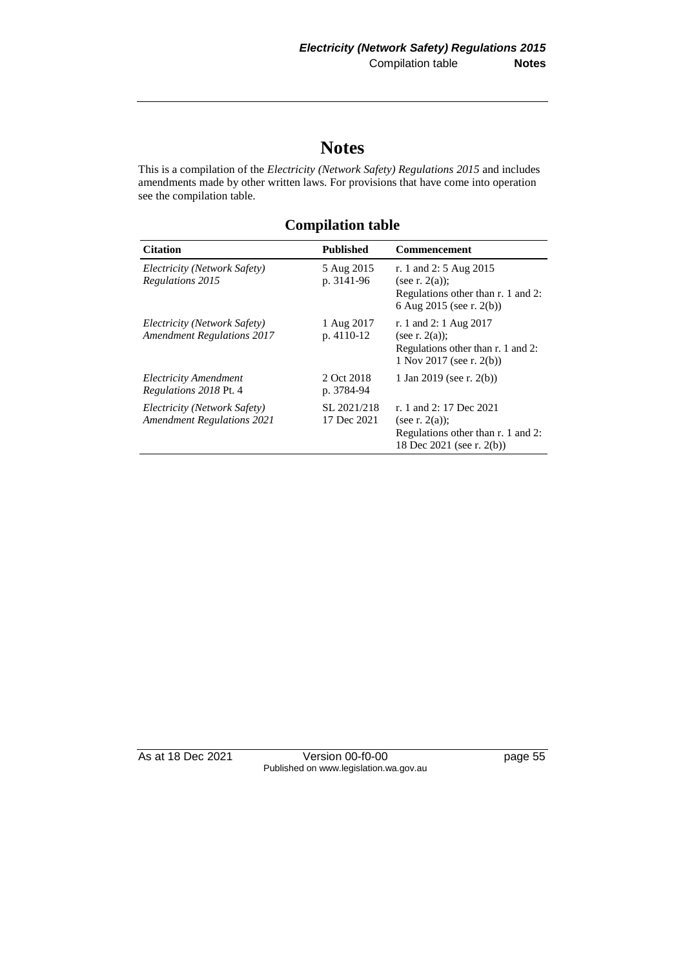## **Notes**

This is a compilation of the *Electricity (Network Safety) Regulations 2015* and includes amendments made by other written laws. For provisions that have come into operation see the compilation table.

**Citation Published Commencement** *Electricity (Network Safety) Regulations 2015* 5 Aug 2015 p. 3141-96 r. 1 and 2: 5 Aug 2015 (see r. 2(a)); Regulations other than r. 1 and 2: 6 Aug 2015 (see r. 2(b)) *Electricity (Network Safety) Amendment Regulations 2017* 1 Aug 2017 p. 4110-12 r. 1 and 2: 1 Aug 2017 (see r.  $2(a)$ ); Regulations other than r. 1 and 2: 1 Nov 2017 (see r. 2(b)) *Electricity Amendment Regulations 2018* Pt. 4 2 Oct 2018 p. 3784-94 1 Jan 2019 (see r. 2(b)) *Electricity (Network Safety) Amendment Regulations 2021* SL 2021/218 17 Dec 2021 r. 1 and 2: 17 Dec 2021 (see r. 2(a)); Regulations other than r. 1 and 2: 18 Dec 2021 (see r. 2(b))

**Compilation table**

As at 18 Dec 2021 Version 00-f0-00 Published on www.legislation.wa.gov.au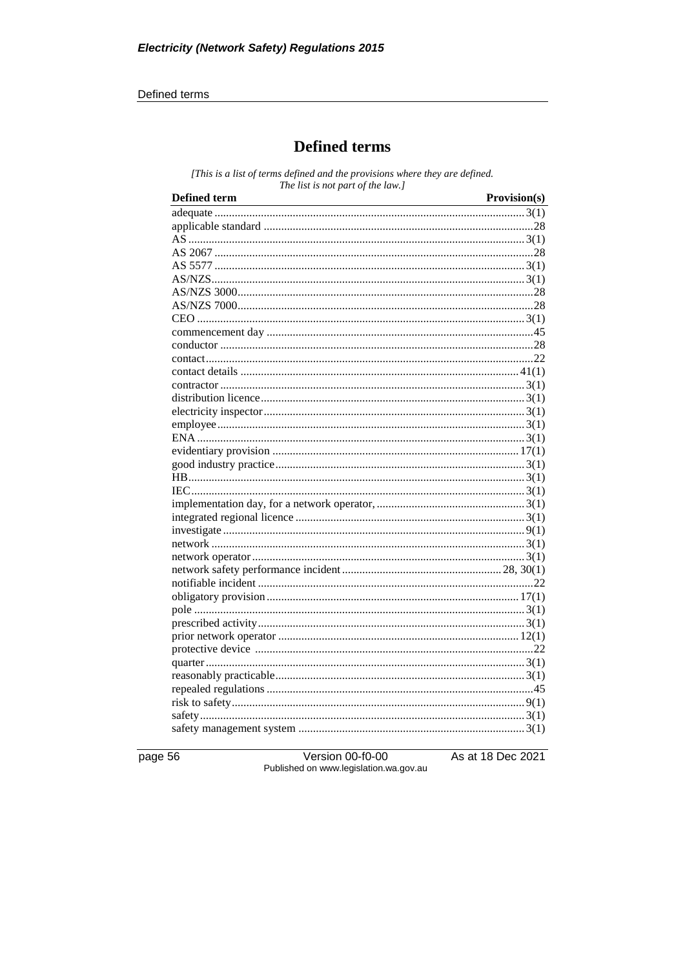#### Defined terms

## **Defined terms**

[This is a list of terms defined and the provisions where they are defined. The list is not part of the law.]

| <b>Defined term</b> | Provision(s) |
|---------------------|--------------|
|                     |              |
|                     |              |
|                     |              |
|                     |              |
|                     |              |
|                     |              |
|                     |              |
|                     |              |
|                     |              |
|                     |              |
|                     |              |
|                     |              |
|                     |              |
|                     |              |
|                     |              |
|                     |              |
|                     |              |
|                     |              |
|                     |              |
|                     |              |
|                     |              |
|                     |              |
|                     |              |
|                     |              |
|                     |              |
|                     |              |
|                     |              |
|                     |              |
|                     |              |
|                     |              |
|                     |              |
|                     |              |
|                     |              |
|                     |              |
|                     |              |
|                     |              |
|                     |              |
|                     |              |
|                     |              |
|                     |              |
|                     |              |

page 56

Version 00-f0-00<br>Published on www.legislation.wa.gov.au

As at 18 Dec 2021